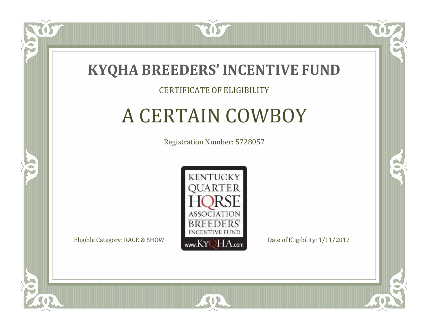

#### CERTIFICATE OF ELIGIBILITY

# A CERTAIN COWBOY

Registration Number: 5728057



 $SO2$ 

CO.

B

 $\Box$ N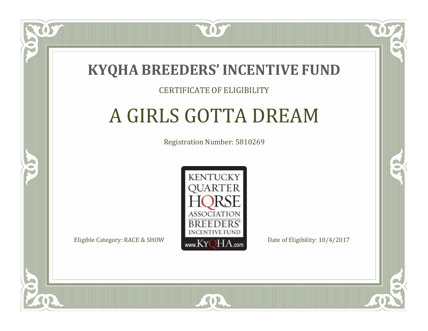

#### CERTIFICATE OF ELIGIBILITY

# A GIRLS GOTTA DREAM

Registration Number: 5810269



SOR

RO

CO.

 $\Box$ T

S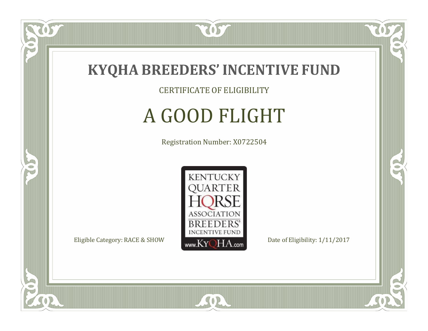

CERTIFICATE OF ELIGIBILITY

# A GOOD FLIGHT

Registration Number: X0722504



SOR

CO.

 $\rightarrow$ 

 $\delta S$ 

 $\Box$ NU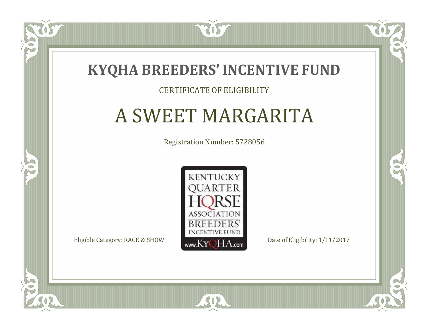

### CERTIFICATE OF ELIGIBILITY

## A SWEET MARGARITA

Registration Number: 5728056



SOR

CO.

B

 $\blacksquare$ N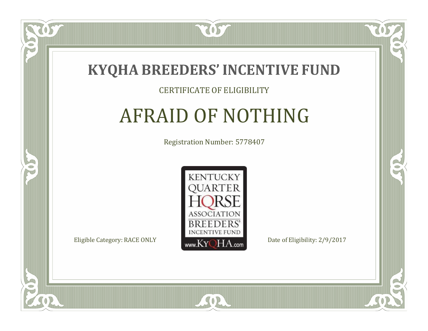

#### CERTIFICATE OF ELIGIBILITY

# AFRAID OF NOTHING

Registration Number: 5778407



SOR

CO.

 $\rightarrow$ 

US

 $\Box$ NU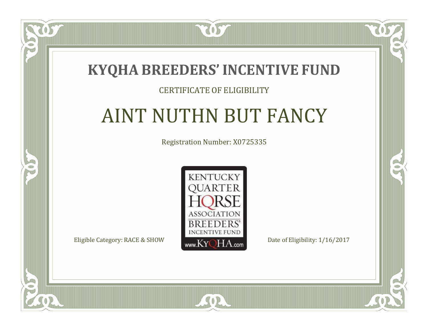### **KYQHA BREEDERS'INCENTIVE FUND**

7057

 $\blacksquare$ N

S

### CERTIFICATE OF ELIGIBILITY

# AINT NUTHN BUT FANCY

Registration Number: X0725335



SOR

CO.

 $\rightarrow$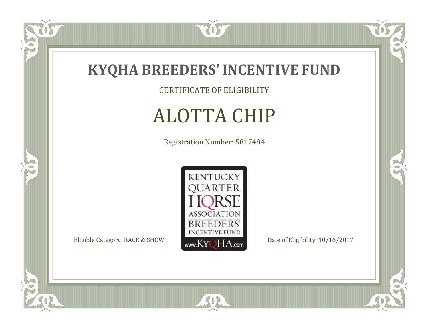

CERTIFICATE OF ELIGIBILITY

# ALOTTA CHIP

Registration Number: 5817484



SOR

 $\mathbb{R}$ 

 $\mathbb{R}^2$ 

 $\overline{OS}$ 

 $\bullet$ N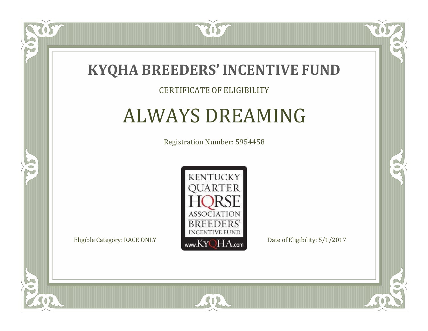

#### CERTIFICATE OF ELIGIBILITY

## ALWAYS DREAMING

Registration Number: 5954458



SOR

 $\mathbb{R}$ 

 $\rightarrow$ 

US

 $\bullet$ NU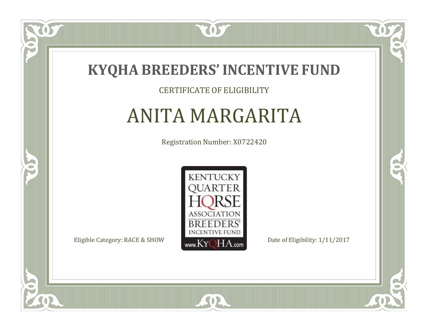

OS

 $\Box$ NU

5

#### CERTIFICATE OF ELIGIBILITY

## ANITA MARGARITA

Registration Number: X0722420



SOR

CO.

 $\rightarrow$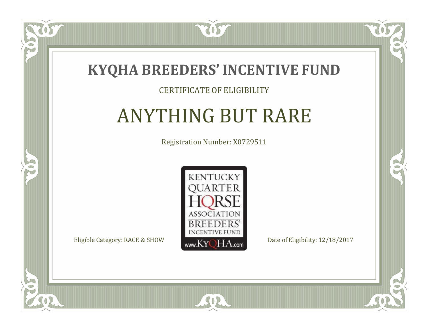

 $\Box$ N

5

#### CERTIFICATE OF ELIGIBILITY

# ANYTHING BUT RARE

Registration Number: X0729511



SOR

CO.

 $\rightarrow$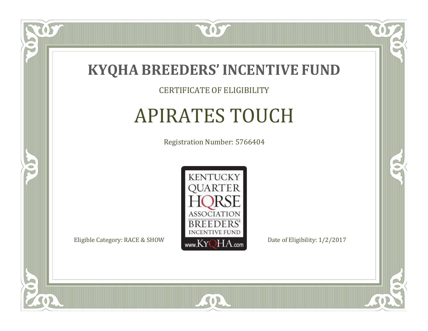

CERTIFICATE OF ELIGIBILITY

# APIRATES TOUCH

Registration Number: 5766404



SOR

CO.

 $\rightarrow$ 

 $\delta S$ 

 $\Box$ NU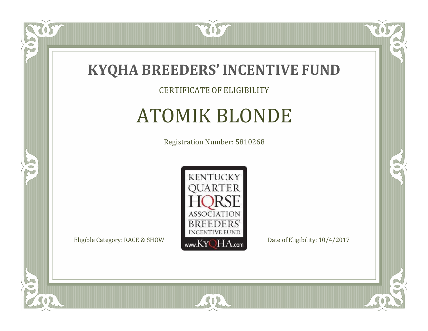

### CERTIFICATE OF ELIGIBILITY

# ATOMIK BLONDE

Registration Number: 5810268



SOR

CO.

 $\rightarrow$ 

US

 $\bullet$ NU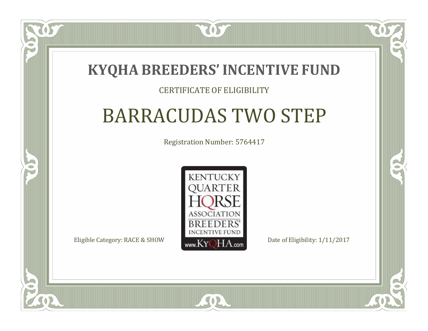### **KYQHA BREEDERS'INCENTIVE FUND**

7057

### CERTIFICATE OF ELIGIBILITY

# BARRACUDAS TWO STEP

Registration Number: 5764417



SOR

CO.

 $\rightarrow$ 

 $\Box$ T

S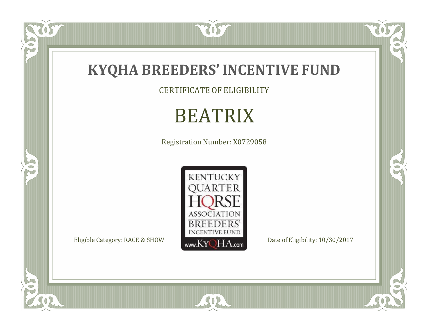

CERTIFICATE OF ELIGIBILITY

# BEATRIX

Registration Number: X0729058



SOR

 $\mathbb{R}$ 

 $\mathbb{R}^2$ 

US.

 $\bullet$ N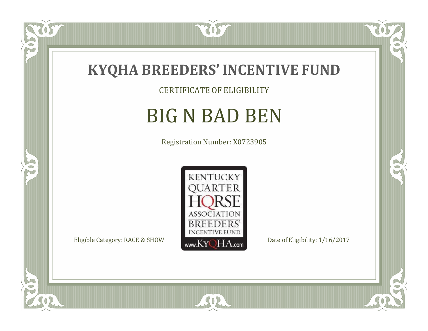

CERTIFICATE OF ELIGIBILITY

# BIG N BAD BEN

Registration Number: X0723905



SOR

CO.

 $\rightarrow$ 

057

 $\bullet$ NU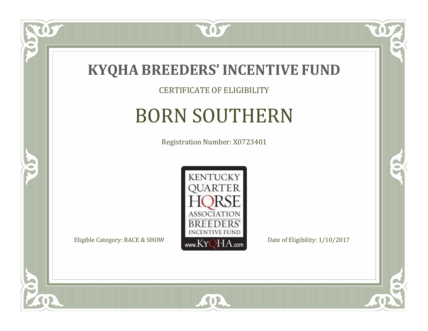

CERTIFICATE OF ELIGIBILITY

# BORN SOUTHERN

Registration Number: X0723401



SOR

 $\mathbb{R}$ 

 $\rightarrow$ 

US

 $\bullet$ NU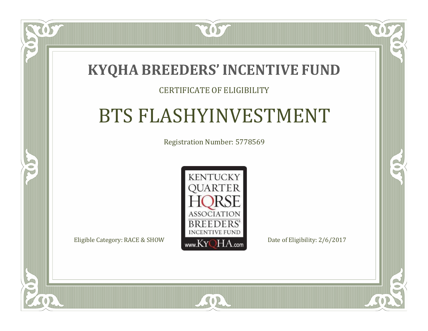### **KYQHA BREEDERS'INCENTIVE FUND**

7057

### CERTIFICATE OF ELIGIBILITY

### BTS FLASHYINVESTMENT

Registration Number: 5778569



SOR

CO.

 $\rightarrow$ 

 $\Box$ N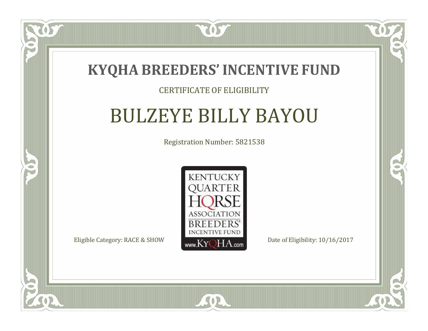

#### CERTIFICATE OF ELIGIBILITY

## BULZEYE BILLY BAYOU

Registration Number: 5821538



 $SO2$ 

CO.

 $\rightarrow$ 

 $\Box$ N

S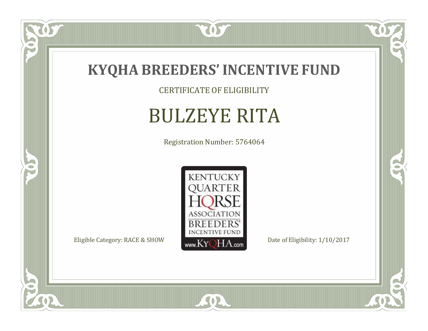

CERTIFICATE OF ELIGIBILITY

# BULZEYE RITA

Registration Number: 5764064



SOR

 $\mathbb{R}$ 

 $\rightarrow$ 

 $\overline{OS}$ 

 $\bullet$ N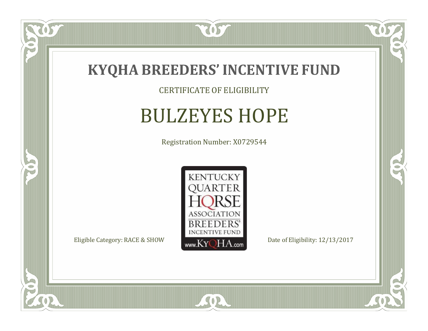

CERTIFICATE OF ELIGIBILITY

## BULZEYES HOPE

Registration Number: X0729544



SOR

CO.

 $\rightarrow$ 

 $\delta S$ 

 $\bullet$ NU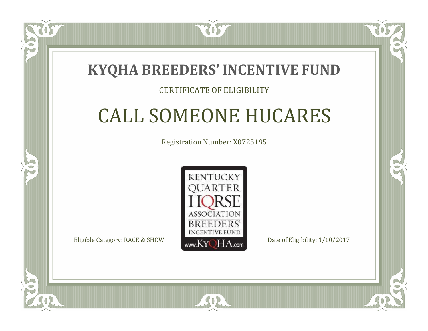### **KYQHA BREEDERS'INCENTIVE FUND**

7057

### CERTIFICATE OF ELIGIBILITY

# CALL SOMEONE HUCARES

Registration Number: X0725195



SOR

RO

P.

 $\Box$ T

S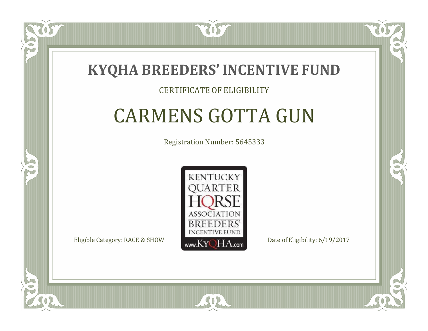

#### CERTIFICATE OF ELIGIBILITY

# CARMENS GOTTA GUN

Registration Number: 5645333



RO

CO.

 $\Box$ N

S

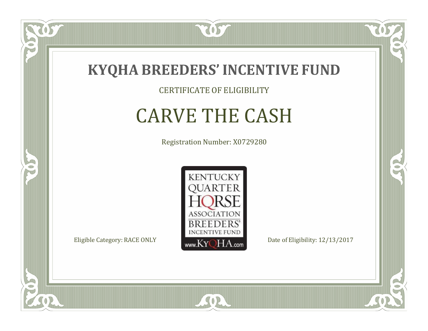

#### CERTIFICATE OF ELIGIBILITY

# CARVE THE CASH

Registration Number: X0729280



 $SO2$ 

CO.

 $\rightarrow$ 

057

 $\Box$ NU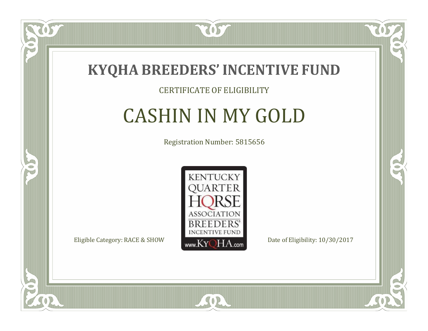

#### CERTIFICATE OF ELIGIBILITY

### CASHIN IN MY GOLD

Registration Number: 5815656



CO.

B

 $\Box$ N

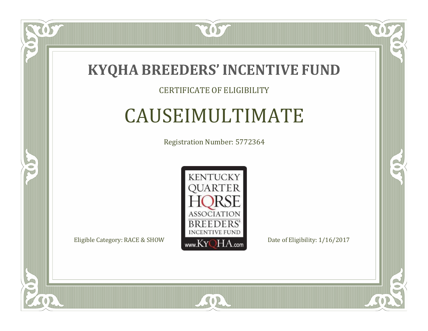

#### CERTIFICATE OF ELIGIBILITY

### CAUSEIMULTIMATE

Registration Number: 5772364



 $SO2$ 

CO.

 $\rightarrow$ 

US

 $\Box$ NU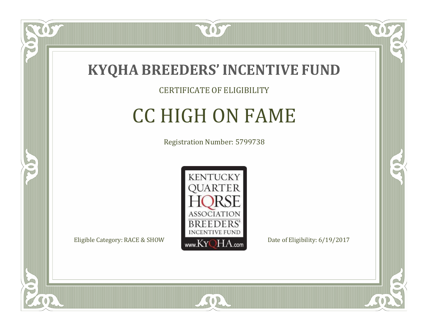

### CERTIFICATE OF ELIGIBILITY

# CC HIGH ON FAME

Registration Number: 5799738



SOR

CO.

B

 $\Box$ NU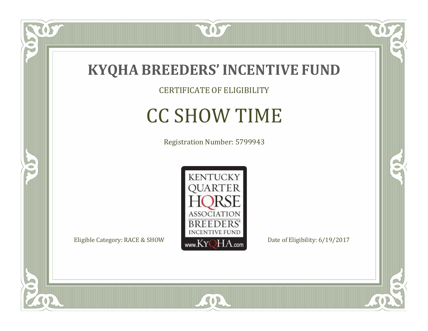

CERTIFICATE OF ELIGIBILITY

# CC SHOW TIME

Registration Number: 5799943



SOR

US

 $\bullet$ NU

5

 $\mathbb{R}$ 

 $\rightarrow$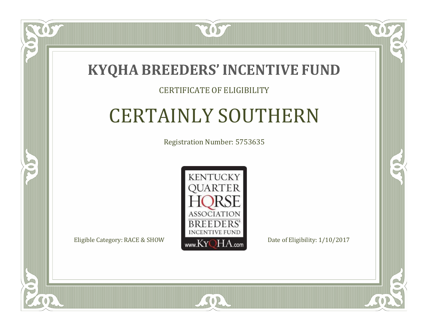

#### CERTIFICATE OF ELIGIBILITY

# CERTAINLY SOUTHERN

Registration Number: 5753635



SOR

 $\mathbb{R}^2$ 

 $\rightarrow$ 

 $\blacksquare$ N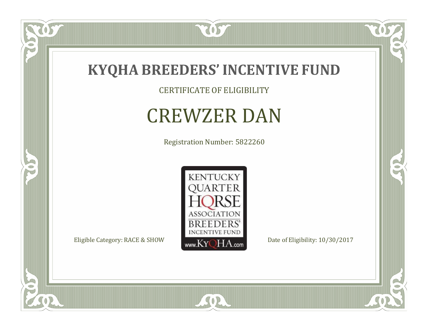

CERTIFICATE OF ELIGIBILITY

# CREWZER DAN

Registration Number: 5822260



SOR

057

 $\bullet$ NU

5

 $\mathbb{R}$ 

 $\mathbb{R}^2$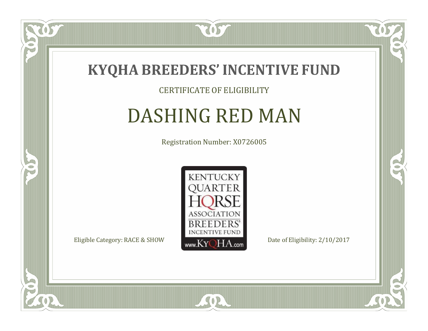

#### CERTIFICATE OF ELIGIBILITY

### DASHING RED MAN

Registration Number: X0726005



SOR

CO.

 $\rightarrow$ 

 $\widetilde{\text{OS}}$ 

 $\Box$ NU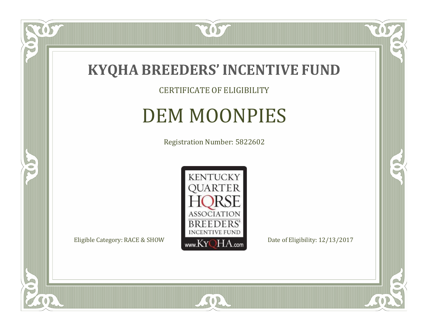

CERTIFICATE OF ELIGIBILITY

# DEM MOONPIES

Registration Number: 5822602



SOR

CO.

 $\rightarrow$ 

US

 $\bullet$ NU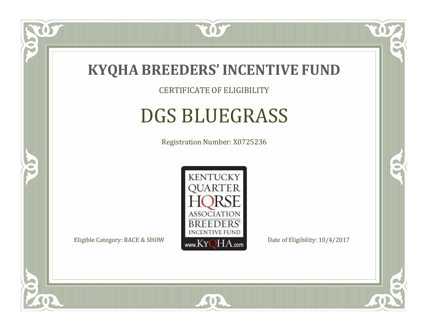

CERTIFICATE OF ELIGIBILITY

## DGS BLUEGRASS

Registration Number: X0725236



SOR

RO

B

 $\Box$ NU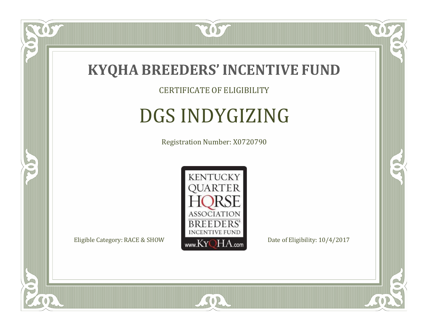

#### CERTIFICATE OF ELIGIBILITY

# DGS INDYGIZING

Registration Number: X0720790



SOR

CO.

 $\rightarrow$ 

057

 $\Box$ NU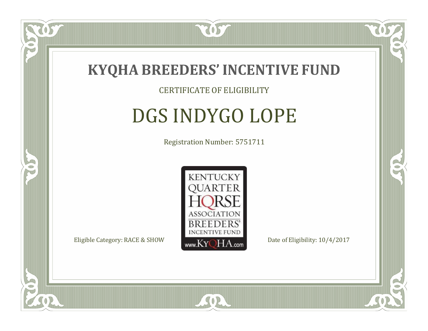

#### CERTIFICATE OF ELIGIBILITY

# DGS INDYGO LOPE

Registration Number: 5751711



SOR

RO

CO.

 $\Box$ N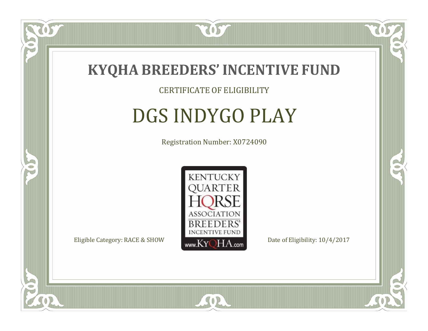

#### CERTIFICATE OF ELIGIBILITY

# DGS INDYGO PLAY

Registration Number: X0724090



SOR

RO

B

 $\Box$ NU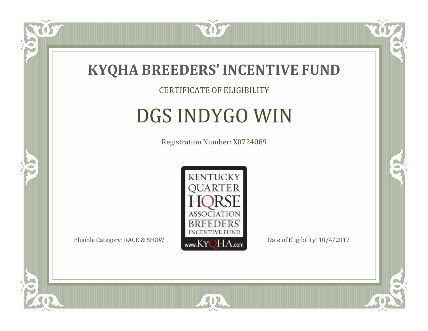

CERTIFICATE OF ELIGIBILITY

# DGS INDYGO WIN

Registration Number: X0724089



SOR

CO.

 $\rightarrow$ 

 $\Box$ NU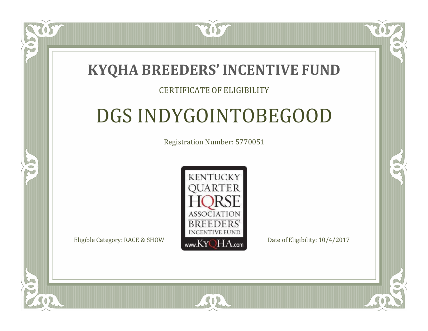2057

#### CERTIFICATE OF ELIGIBILITY

# DGS INDYGOINTOBEGOOD

Registration Number: 5770051



 $SO<sub>2</sub>$ 

RO

P.

 $\Box$ T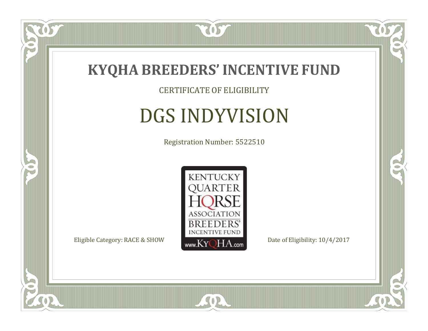

#### CERTIFICATE OF ELIGIBILITY

# DGS INDYVISION

Registration Number: 5522510



SOR

CO.

 $\rightarrow$ 

US

 $\bullet$ NU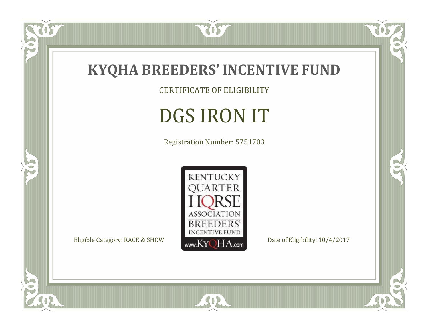

CERTIFICATE OF ELIGIBILITY

# DGS IRON IT

Registration Number: 5751703



SOR

 $\mathbb{R}$ 

CO.

tos

 $\bullet$ N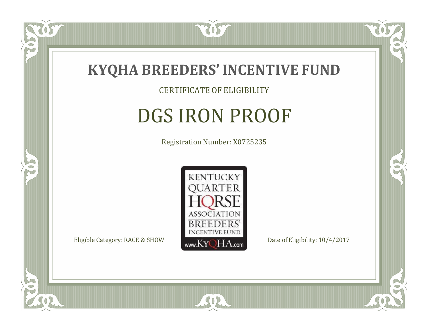

CERTIFICATE OF ELIGIBILITY

# DGS IRON PROOF

Registration Number: X0725235



SOR

CO.

B

 $\Box$ NU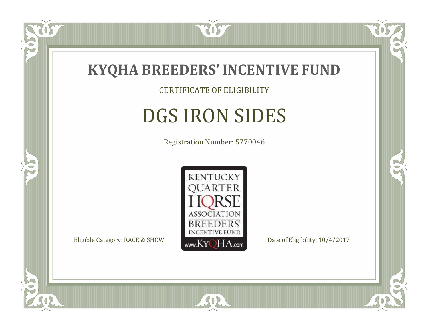

CERTIFICATE OF ELIGIBILITY

# DGS IRON SIDES

Registration Number: 5770046



SOR

CO.

B

057

 $\Box$ NU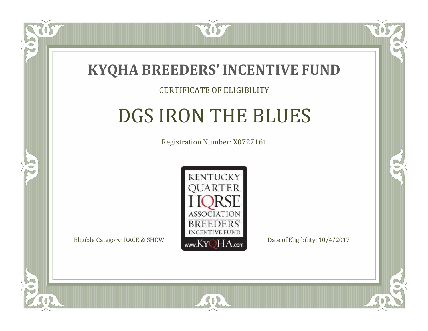

#### CERTIFICATE OF ELIGIBILITY

# DGS IRON THE BLUES

Registration Number: X0727161



RO

CO.

 $\Box$ N

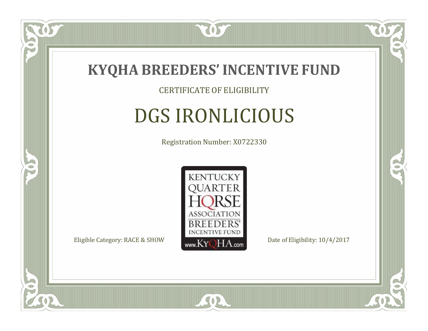

#### CERTIFICATE OF ELIGIBILITY

# DGS IRONLICIOUS

Registration Number: X0722330



SOR

RO

B

 $\Box$ NU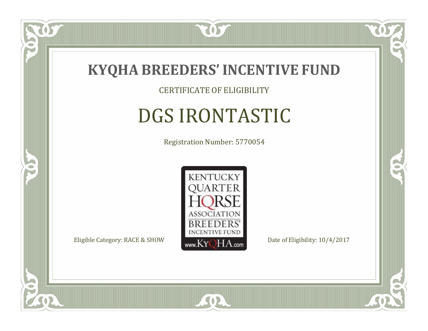

CERTIFICATE OF ELIGIBILITY

# DGS IRONTASTIC

Registration Number: 5770054



SOR

CO.

B

 $\Box$ NU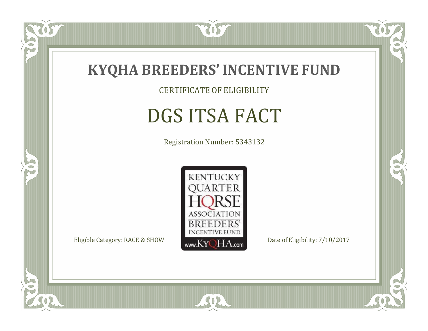

CERTIFICATE OF ELIGIBILITY

# DGS ITSA FACT

Registration Number: 5343132



SOR

CO.

 $\rightarrow$ 

 $\delta S$ 

 $\bullet$ NU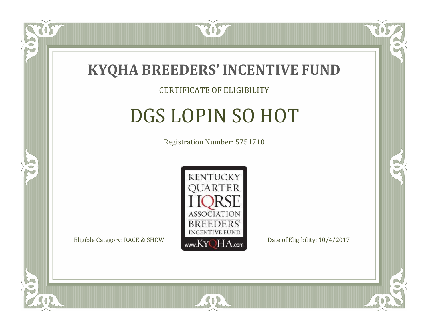

#### CERTIFICATE OF ELIGIBILITY

# DGS LOPIN SO HOT

Registration Number: 5751710



 $SO<sub>2</sub>$ 

RO

CO.

 $\Box$ N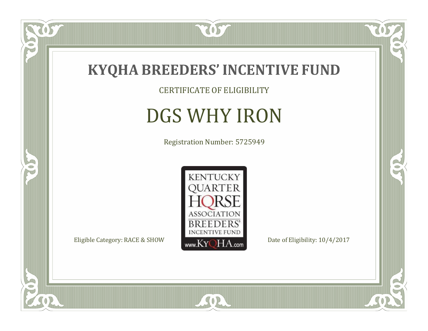

tos

 $\bullet$ N

5

CERTIFICATE OF ELIGIBILITY

# DGS WHY IRON

Registration Number: 5725949



SOR

 $\mathbb{R}$ 

 $\mathbb{R}^2$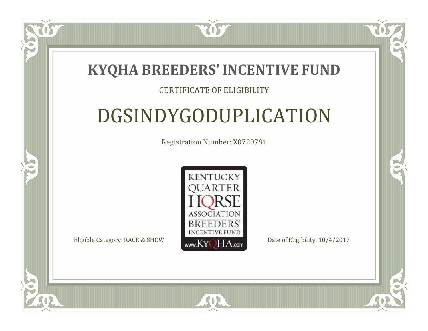2057

#### CERTIFICATE OF ELIGIBILITY

# DGSINDYGODUPLICATION

Registration Number: X0720791



SOR

RO

 $\rightarrow$ 

 $\Box$ T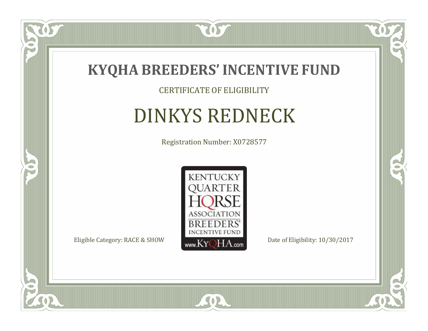

CERTIFICATE OF ELIGIBILITY

# DINKYS REDNECK

Registration Number: X0728577



 $SO2$ 

CO.

 $\rightarrow$ 

 $\delta S$ 

 $\bullet$ NU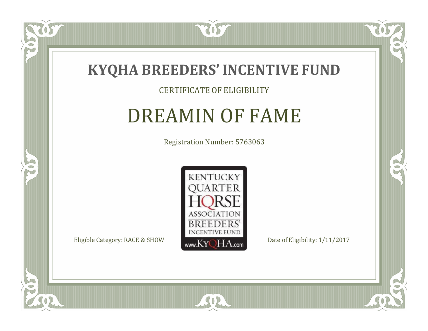

#### CERTIFICATE OF ELIGIBILITY

### DREAMIN OF FAME

Registration Number: 5763063



SOR

US

 $\Box$ NU

5

CO.

 $\rightarrow$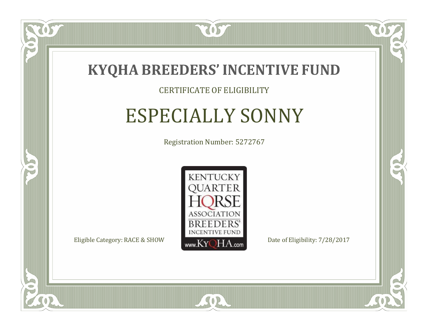

#### CERTIFICATE OF ELIGIBILITY

### ESPECIALLY SONNY

Registration Number: 5272767



SOR

CO.

 $\rightarrow$ 

 $\Box$ N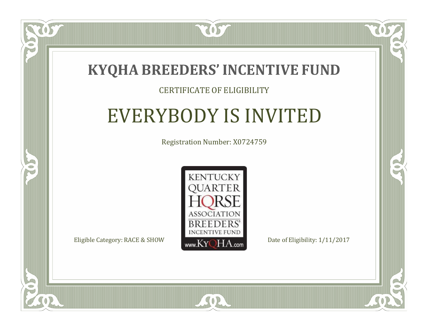

#### CERTIFICATE OF ELIGIBILITY

## EVERYBODY IS INVITED

Registration Number: X0724759



SOR

CO.

 $\rightarrow$ 

 $\blacksquare$ N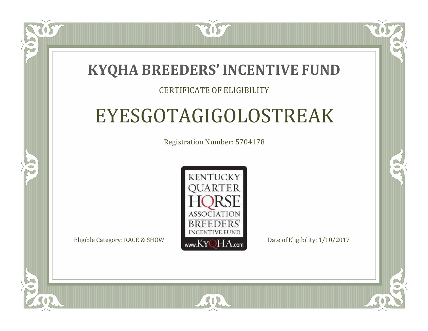2057

#### CERTIFICATE OF ELIGIBILITY

# EYESGOTAGIGOLOSTREAK

Registration Number: 5704178



SOR

RO

CO.

 $\Box$ N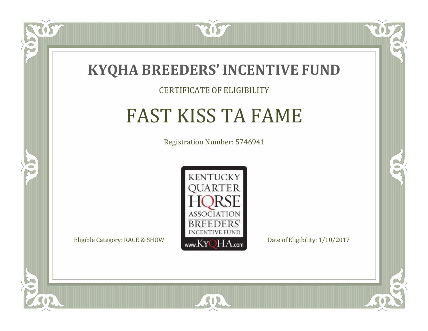

#### CERTIFICATE OF ELIGIBILITY

# FAST KISS TA FAME

Registration Number: 5746941



SOR

CO.

 $\rightarrow$ 

 $\Box$ N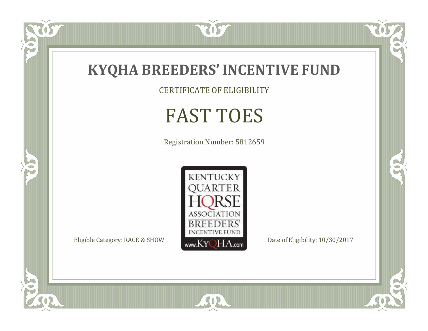

CERTIFICATE OF ELIGIBILITY

# FAST TOES

Registration Number: 5812659



SOR

 $\mathbb{R}$ 

 $\mathbb{R}^2$ 

 $\overline{OS}$ 

 $\bullet$ N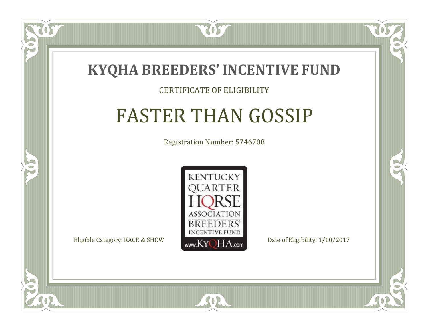

#### CERTIFICATE OF ELIGIBILITY

# FASTER THAN GOSSIP

Registration Number: 5746708



SOR

CO.

B

 $\Box$ N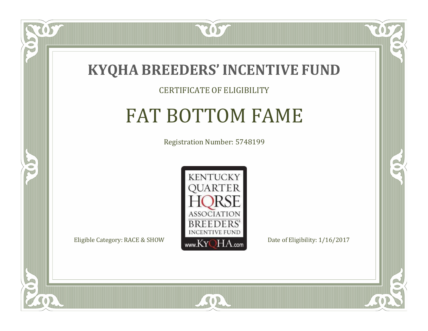

#### CERTIFICATE OF ELIGIBILITY

# FAT BOTTOM FAME

Registration Number: 5748199



SOR

CO.

 $\rightarrow$ 

 $\delta S$ 

 $\Box$ NU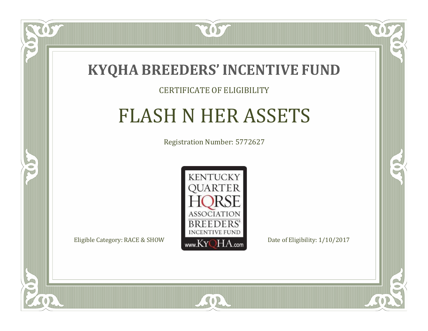

#### CERTIFICATE OF ELIGIBILITY

# FLASH N HER ASSETS

Registration Number: 5772627



SOR

CO.

 $\rightarrow$ 

 $\Box$ N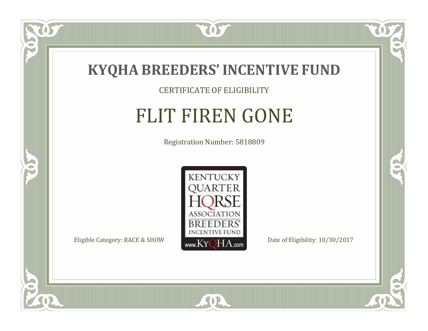

#### CERTIFICATE OF ELIGIBILITY

# FLIT FIREN GONE

Registration Number: 5818809



SOR

US

 $\bullet$ NU

5

CO.

 $\rightarrow$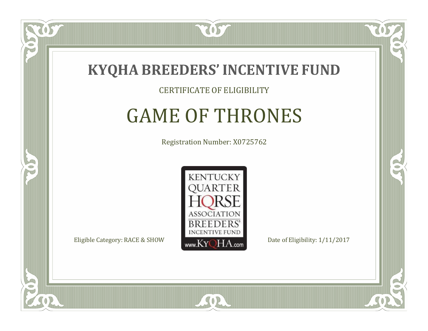

#### CERTIFICATE OF ELIGIBILITY

### GAME OF THRONES

Registration Number: X0725762



SOR

CO.

B

 $\Box$ N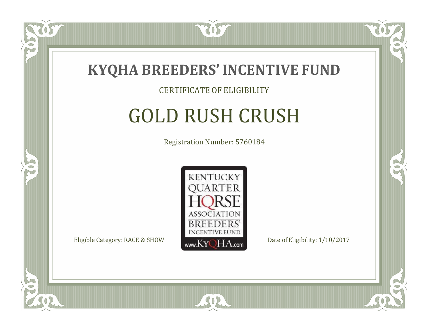

#### CERTIFICATE OF ELIGIBILITY

# GOLD RUSH CRUSH

Registration Number: 5760184



RO

B

 $\Box$ N

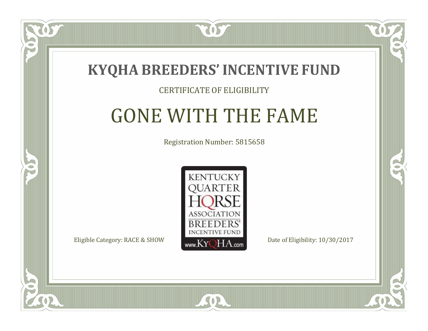

 $\Box$ N

5

#### CERTIFICATE OF ELIGIBILITY

### GONE WITH THE FAME

Registration Number: 5815658

CO.

 $\rightarrow$ 



SOR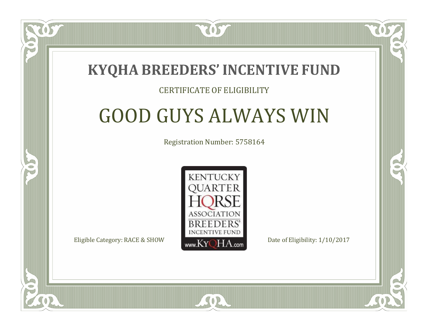

#### CERTIFICATE OF ELIGIBILITY

## GOOD GUYS ALWAYS WIN

Registration Number: 5758164



SOR

 $\Box$ N

S

CO.

CO.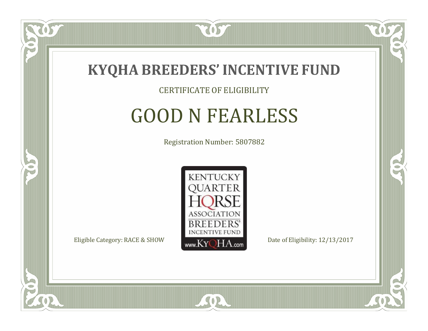

CERTIFICATE OF ELIGIBILITY

### GOOD N FEARLESS

Registration Number: 5807882



 $SO2$ 

CO.

B

 $\Box$ N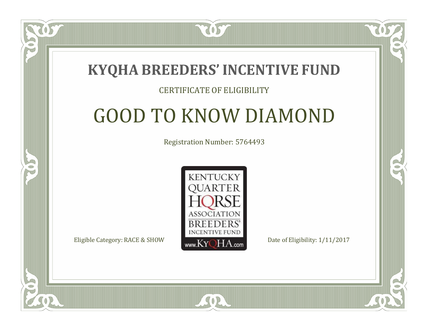7057

#### CERTIFICATE OF ELIGIBILITY

# GOOD TO KNOW DIAMOND

Registration Number: 5764493



SOR

 $\Box$ N

S

CO.

CO.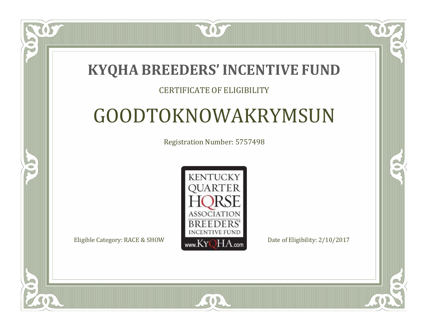2057

#### CERTIFICATE OF ELIGIBILITY

# GOODTOKNOWAKRYMSUN

Registration Number: 5757498



 $SO2$ 

CO.

 $\rightarrow$ 

 $\Box$ N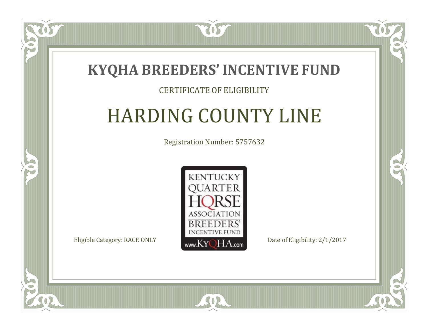7057

#### CERTIFICATE OF ELIGIBILITY

# HARDING COUNTY LINE

Registration Number: 5757632



SOR

CO.

 $\rightarrow$ 

 $\blacksquare$ N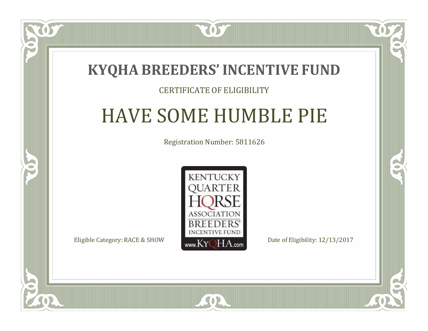

#### CERTIFICATE OF ELIGIBILITY

### HAVE SOME HUMBLE PIE

Registration Number: 5811626



CO.

 $\rightarrow$ 

 $\Box$ T

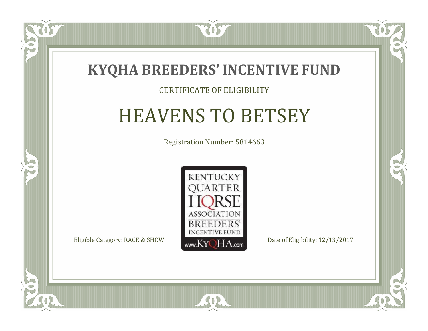

#### CERTIFICATE OF ELIGIBILITY

# HEAVENS TO BETSEY

Registration Number: 5814663



 $SO2$ 

CO.

 $\rightarrow$ 

 $\blacksquare$ N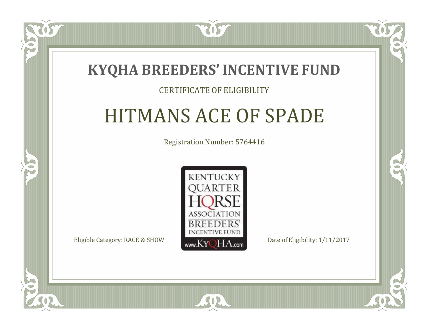

#### CERTIFICATE OF ELIGIBILITY

### HITMANS ACE OF SPADE

Registration Number: 5764416



SOR

CO.

CO.

 $\Box$ N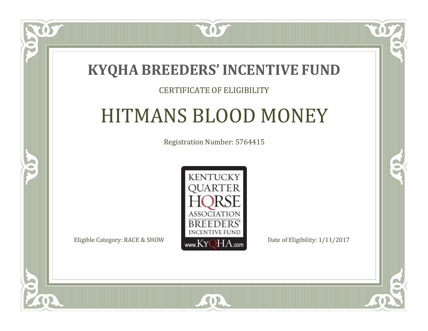

#### CERTIFICATE OF ELIGIBILITY

### HITMANS BLOOD MONEY

Registration Number: 5764415



SOR

CO.

CO.

 $\Box$ N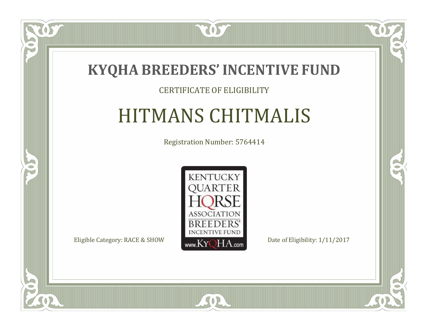

#### CERTIFICATE OF ELIGIBILITY

# HITMANS CHITMALIS

Registration Number: 5764414



SOR

CO.

 $\rightarrow$ 

OS

 $\Box$ NU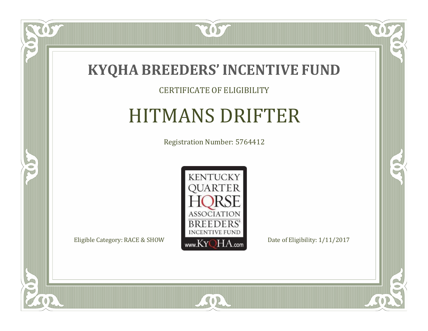

#### CERTIFICATE OF ELIGIBILITY

### HITMANS DRIFTER

Registration Number: 5764412



SOR

057

 $\bullet$ NU

5

CO.

 $\rightarrow$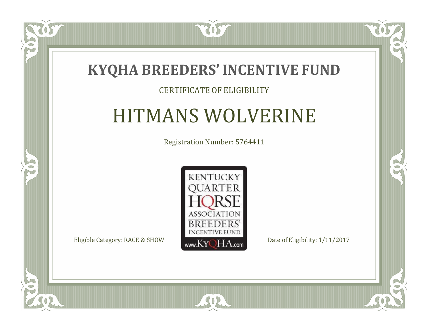

#### CERTIFICATE OF ELIGIBILITY

### HITMANS WOLVERINE

Registration Number: 5764411



SOR

 $\mathbb{R}$ 

 $\rightarrow$ 

ÒS

 $\Box$ NU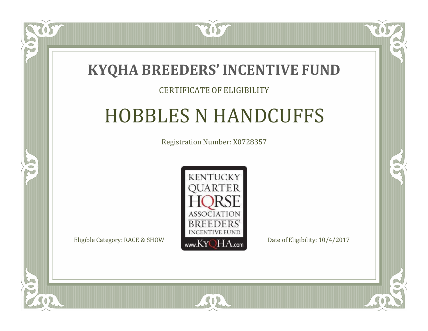

#### CERTIFICATE OF ELIGIBILITY

### HOBBLES N HANDCUFFS

Registration Number: X0728357



 $SO2$ 

 $\mathbb{R}^2$ 

 $\rightarrow$ 

 $\blacksquare$ N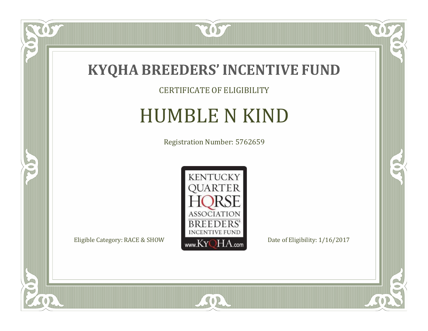

TOST

#### CERTIFICATE OF ELIGIBILITY

# HUMBLE N KIND

Registration Number: 5762659



SOR

 $\mathbb{R}$ 

 $\mathbb{R}^2$ 

 $\overline{OS}$ 

 $\bullet$ N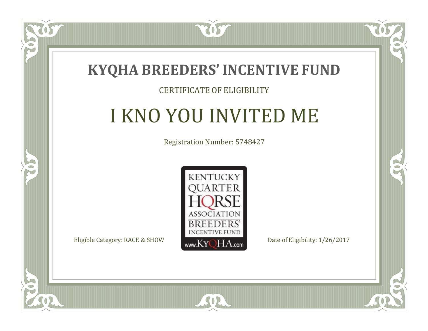

#### CERTIFICATE OF ELIGIBILITY

# I KNO YOU INVITED ME

Registration Number: 5748427



SOR

CO.

 $\rightarrow$ 

 $\delta S$ 

 $\Box$ NU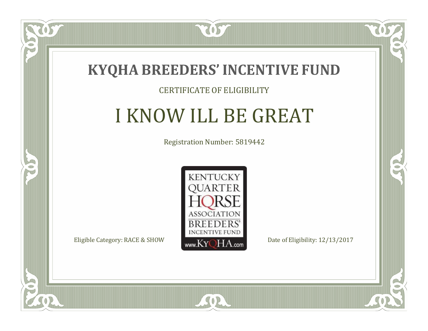

 $\Box$ N

5

#### CERTIFICATE OF ELIGIBILITY

# I KNOW ILL BE GREAT

Registration Number: 5819442



SOR

CO.

 $\rightarrow$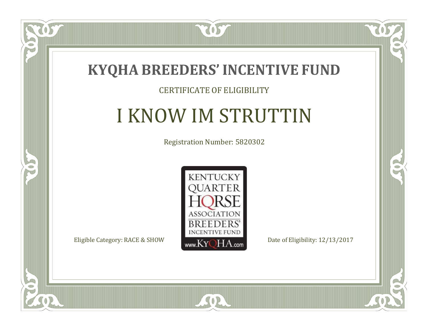

#### CERTIFICATE OF ELIGIBILITY

# I KNOW IM STRUTTIN

Registration Number: 5820302



CO.

 $\rightarrow$ 

 $\blacksquare$ NU

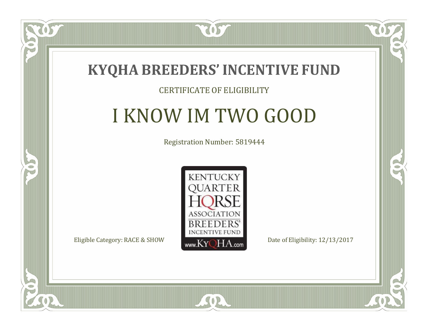

 $\blacksquare$ N

5

#### CERTIFICATE OF ELIGIBILITY

# I KNOW IM TWO GOOD

Registration Number: 5819444



SOR

CO.

B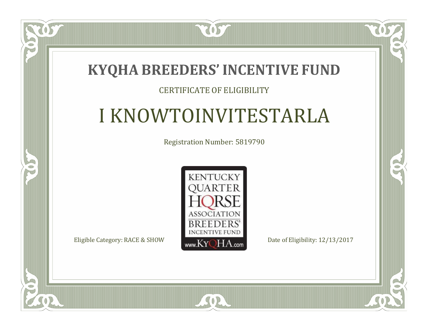

#### CERTIFICATE OF ELIGIBILITY

# I KNOWTOINVITESTARLA

Registration Number: 5819790



SOR

 $\mathbb{R}$ 

 $\rightarrow$ 

 $\blacksquare$ N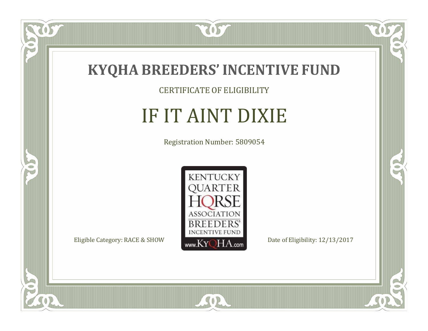

#### CERTIFICATE OF ELIGIBILITY

# IF IT AINT DIXIE

Registration Number: 5809054



SOR

 $\overline{OS}$ 

 $\bullet$ NU

5

 $\mathbb{R}$ 

 $\rightarrow$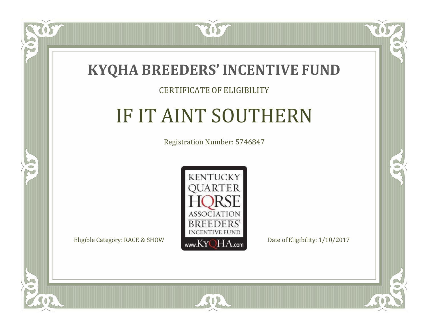

#### CERTIFICATE OF ELIGIBILITY

# IF IT AINT SOUTHERN

Registration Number: 5746847



 $SO2$ 

CO.

 $\rightarrow$ 

 $\delta S$ 

 $\Box$ T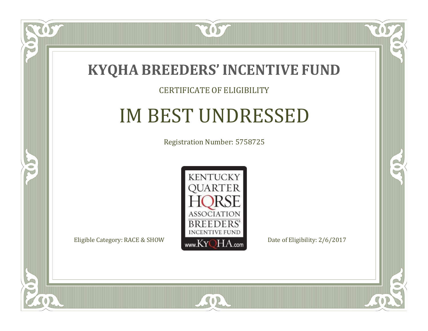

#### CERTIFICATE OF ELIGIBILITY

# IM BEST UNDRESSED

Registration Number: 5758725



 $SO2$ 

CO.

 $\rightarrow$ 

 $\delta S$ 

 $\Box$ NU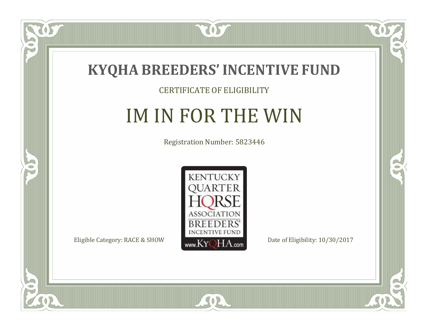

US

 $\Box$ NU

5

#### CERTIFICATE OF ELIGIBILITY

# IM IN FOR THE WIN

Registration Number: 5823446



SOR

 $\mathbb{R}$ 

 $\rightarrow$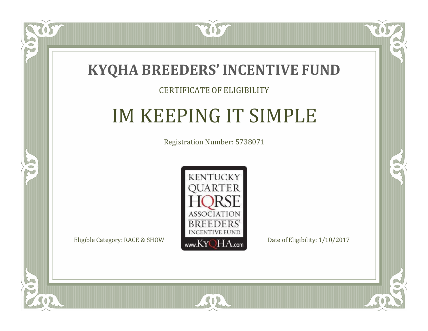

 $\blacksquare$ N

5

#### CERTIFICATE OF ELIGIBILITY

# IM KEEPING IT SIMPLE

Registration Number: 5738071



SOR

CO.

 $\rightarrow$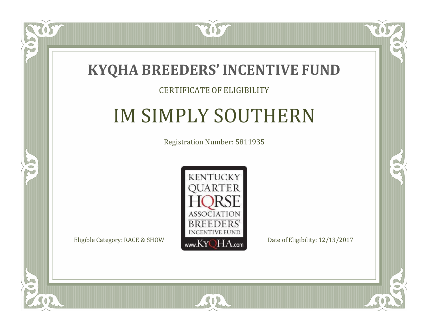

#### CERTIFICATE OF ELIGIBILITY

# IM SIMPLY SOUTHERN

Registration Number: 5811935



SOR

CO.

 $\rightarrow$ 

 $\blacksquare$ N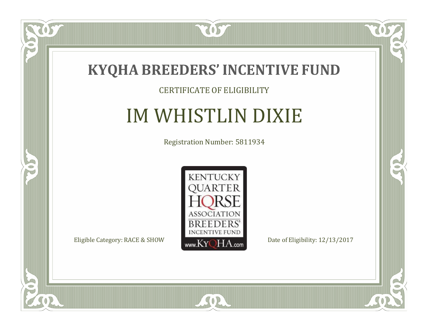

#### CERTIFICATE OF ELIGIBILITY

# IM WHISTLIN DIXIE

Registration Number: 5811934



SOR

 $\mathbb{R}$ 

 $\rightarrow$ 

US

 $\bullet$ NU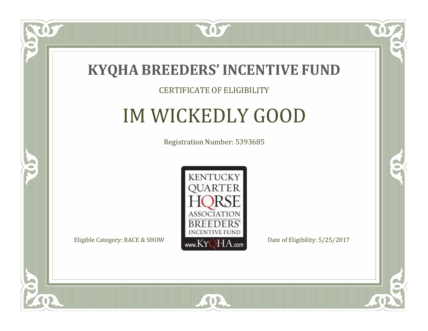

#### CERTIFICATE OF ELIGIBILITY

# IM WICKEDLY GOOD

Registration Number: 5393685



SOR

CO.

 $\rightarrow$ 

US

 $\Box$ NU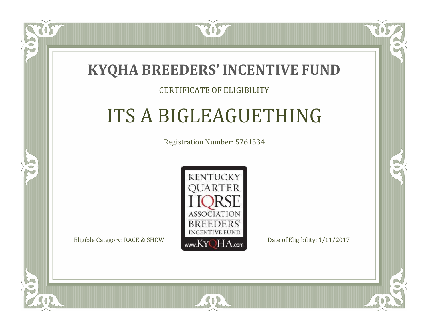

#### CERTIFICATE OF ELIGIBILITY

# ITS A BIGLEAGUETHING

Registration Number: 5761534



 $SO<sub>2</sub>$ 

RO

P.

 $\Box$ T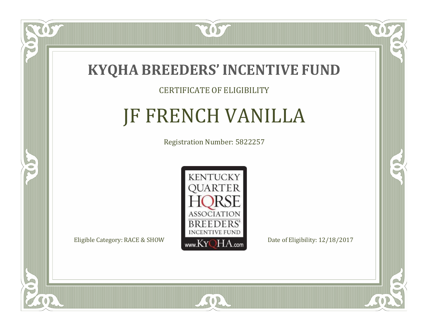

#### CERTIFICATE OF ELIGIBILITY

# JF FRENCH VANILLA

Registration Number: 5822257



 $SO2$ 

CO.

 $\rightarrow$ 

US

 $\Box$ N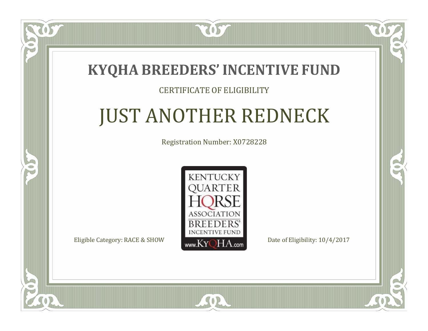### **KYQHA BREEDERS'INCENTIVE FUND**

2057

#### CERTIFICATE OF ELIGIBILITY

# JUST ANOTHER REDNECK

Registration Number: X0728228



SOR

 $\mathbb{R}^2$ 

CO.

 $\Box$ N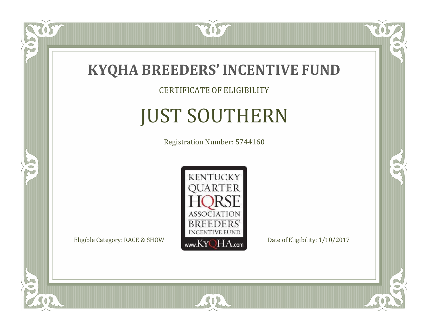

TOST

CERTIFICATE OF ELIGIBILITY

# JUST SOUTHERN

Registration Number: 5744160



SOR

 $\mathbb{R}$ 

 $\rightarrow$ 

US

 $\bullet$ NU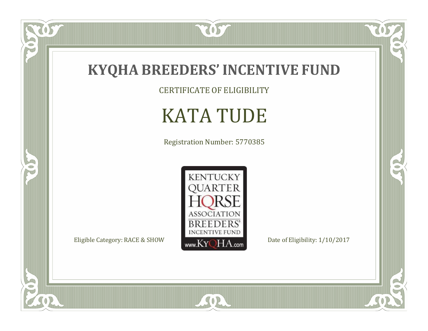

CERTIFICATE OF ELIGIBILITY

# KATA TUDE

Registration Number: 5770385



SOR

 $\mathbb{R}$ 

 $\mathbb{R}^2$ 

US.

 $\bullet$ N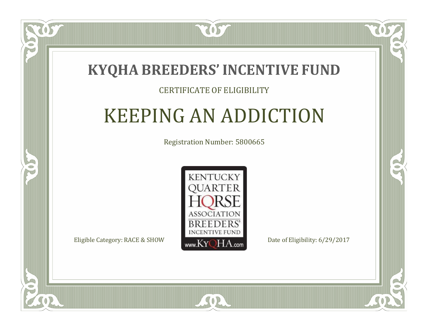

#### CERTIFICATE OF ELIGIBILITY

### KEEPING AN ADDICTION

Registration Number: 5800665



 $SO<sub>2</sub>$ 

RO

CO.

 $\Box$ T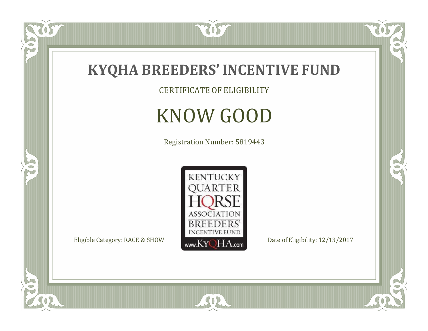

CERTIFICATE OF ELIGIBILITY

# KNOW GOOD

Registration Number: 5819443



SOR

 $\mathbb{R}$ 

CO.

 $\overline{OS}$ 

 $\bullet$ N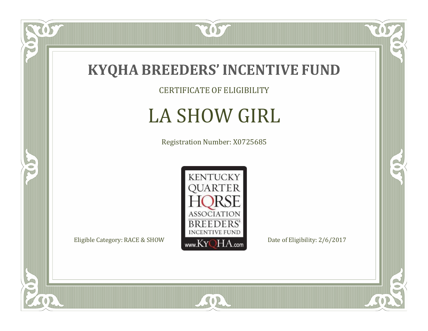

057

 $\bullet$ NU

5

CERTIFICATE OF ELIGIBILITY

# LA SHOW GIRL

Registration Number: X0725685



SOR

CO.

 $\rightarrow$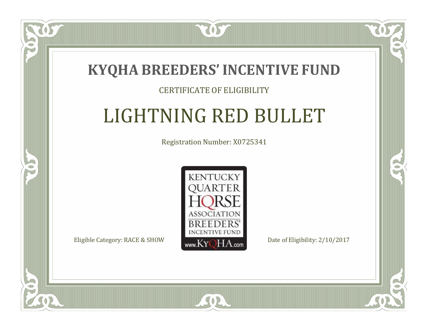

#### CERTIFICATE OF ELIGIBILITY

# LIGHTNING RED BULLET

Registration Number: X0725341



SOR

CO.

B

 $\blacksquare$ N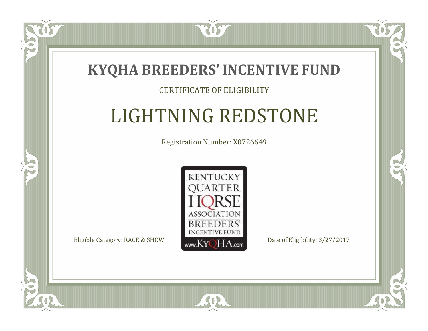

#### CERTIFICATE OF ELIGIBILITY

# LIGHTNING REDSTONE

Registration Number: X0726649



SOR

CO.

 $\rightarrow$ 

 $\blacksquare$ N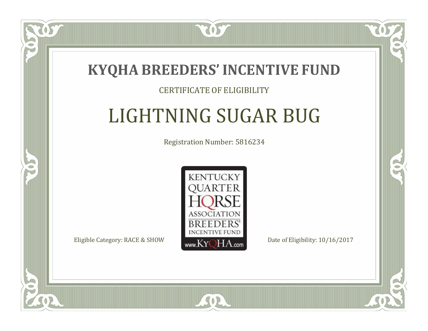

#### CERTIFICATE OF ELIGIBILITY

# LIGHTNING SUGAR BUG

Registration Number: 5816234



 $SO<sub>2</sub>$ 

RO

P.

 $\Box$ T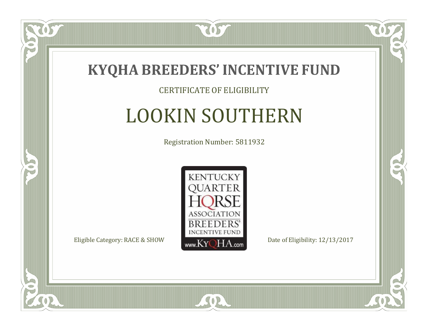

#### CERTIFICATE OF ELIGIBILITY

# LOOKIN SOUTHERN

Registration Number: 5811932



SOR

CO.

 $\rightarrow$ 

US

 $\Box$ NU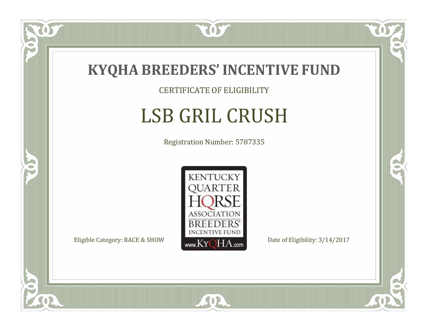

#### CERTIFICATE OF ELIGIBILITY

# LSB GRIL CRUSH

Registration Number: 5787335



SOR

CO.

 $\rightarrow$ 

US

 $\bullet$ NU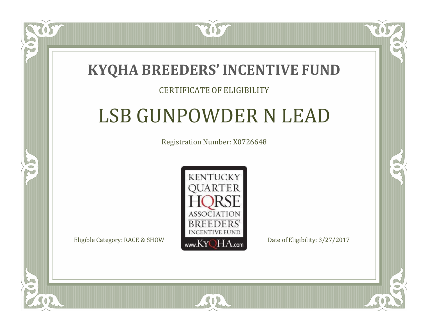

#### CERTIFICATE OF ELIGIBILITY

### LSB GUNPOWDER N LEAD

Registration Number: X0726648



CO.

B

 $\Box$ N

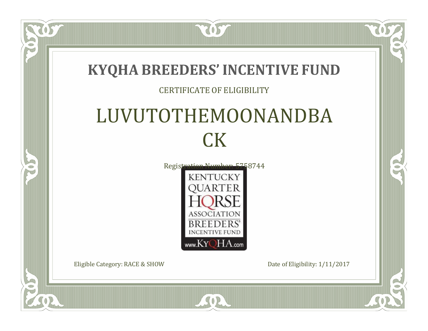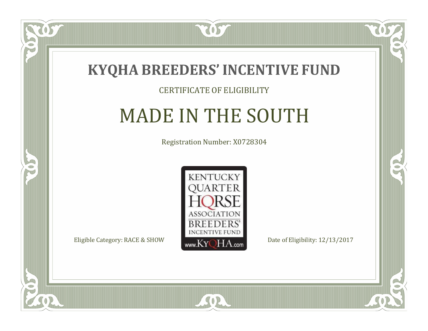

#### CERTIFICATE OF ELIGIBILITY

# MADE IN THE SOUTH

Registration Number: X0728304



SOR

CO.

 $\rightarrow$ 

 $\Box$ N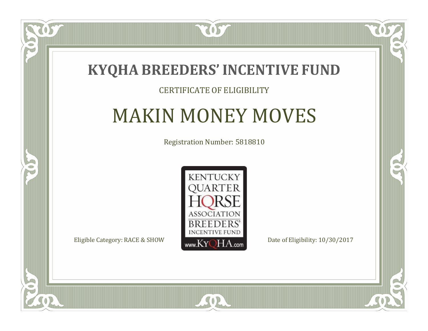

#### CERTIFICATE OF ELIGIBILITY

### MAKIN MONEY MOVES

Registration Number: 5818810



 $SO2$ 

CO.

 $\rightarrow$ 

 $\blacksquare$ N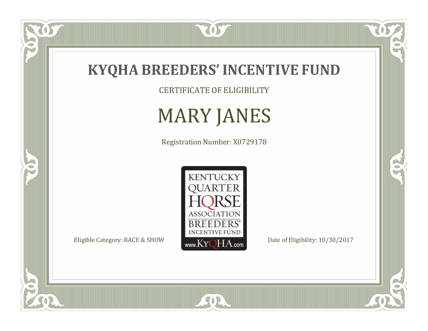

CERTIFICATE OF ELIGIBILITY

# MARY JANES

Registration Number: X0729178



SOR

 $\mathbb{R}$ 

CO.

tos

 $\bullet$ N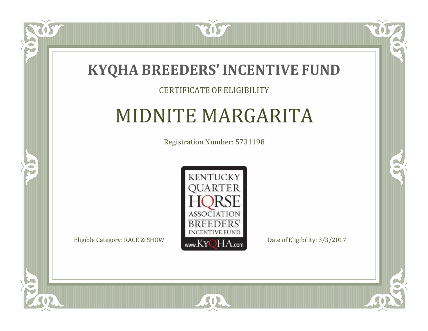

#### CERTIFICATE OF ELIGIBILITY

### MIDNITE MARGARITA

Registration Number: 5731198



CO.

 $\rightarrow$ 

OS

 $\Box$ N

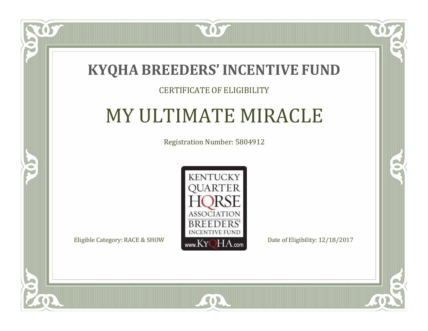

### CERTIFICATE OF ELIGIBILITY

### MY ULTIMATE MIRACLE

Registration Number: 5804912



SOR

CO.

 $\rightarrow$ 

 $\Box$ N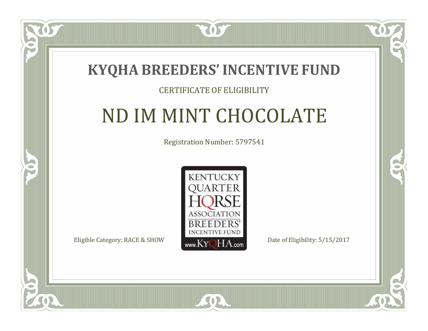### **KYQHA BREEDERS'INCENTIVE FUND**

7057

### CERTIFICATE OF ELIGIBILITY

## ND IM MINT CHOCOLATE

Registration Number: 5797541



 $SO2$ 

CO.

 $\rightarrow$ 

 $\blacksquare$ N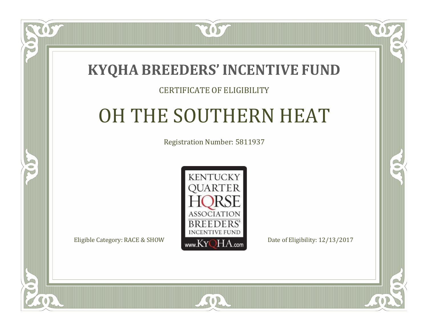

#### CERTIFICATE OF ELIGIBILITY

### OH THE SOUTHERN HEAT

Registration Number: 5811937



 $SO2$ 

CO.

 $\rightarrow$ 

 $\blacksquare$ N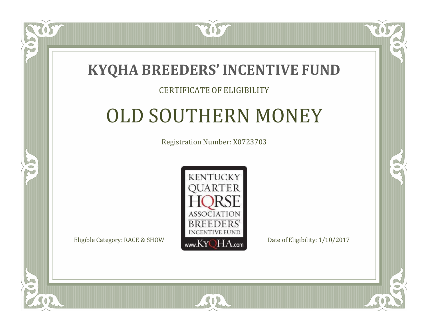

#### CERTIFICATE OF ELIGIBILITY

### OLD SOUTHERN MONEY

Registration Number: X0723703



SOR

CO.

B

 $\blacksquare$ N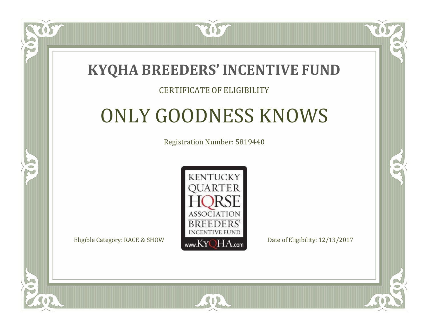

### CERTIFICATE OF ELIGIBILITY

# ONLY GOODNESS KNOWS

Registration Number: 5819440



SOR

RO

P.

 $\Box$ N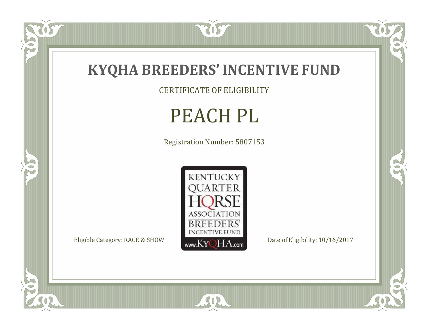

CERTIFICATE OF ELIGIBILITY

# PEACH PL

Registration Number: 5807153



SOR

US.

 $\bullet$ N

5

 $\mathbb{R}$ 

 $\mathbb{R}^2$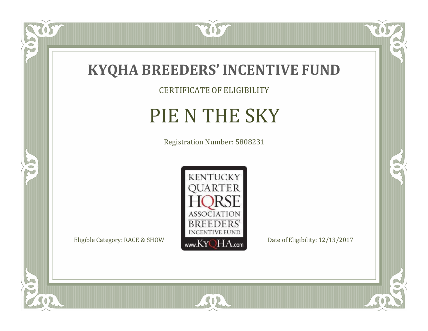

 $\overline{OS}$ 

 $\bullet$ NU

5

CERTIFICATE OF ELIGIBILITY

# PIE N THE SKY

Registration Number: 5808231



SOR

 $\mathbb{R}$ 

 $\mathbb{R}^2$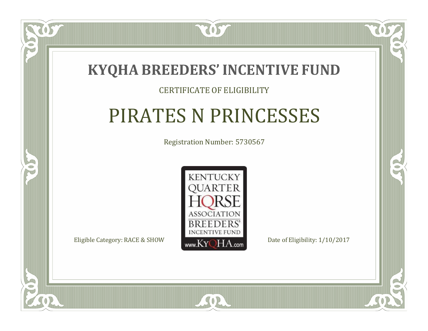

### CERTIFICATE OF ELIGIBILITY

## PIRATES N PRINCESSES

Registration Number: 5730567



SOR

CO.

 $\rightarrow$ 

 $\Box$ N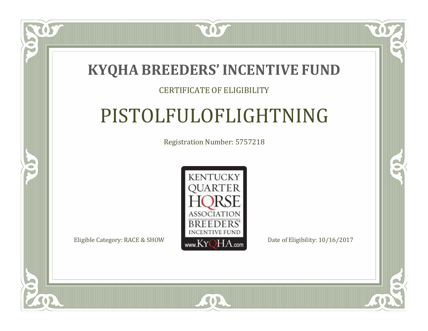

#### CERTIFICATE OF ELIGIBILITY

## PISTOLFULOFLIGHTNING

Registration Number: 5757218



SOR

 $\mathbb{R}^2$ 

 $\rightarrow$ 

 $\Box$ N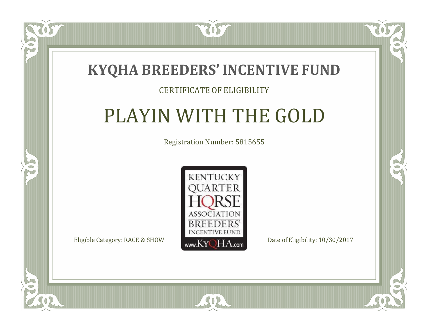

### CERTIFICATE OF ELIGIBILITY

## PLAYIN WITH THE GOLD

Registration Number: 5815655



SOR

OS

 $\blacksquare$ N

S

CO.

 $\rightarrow$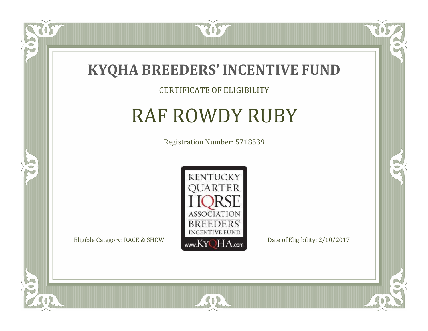

#### CERTIFICATE OF ELIGIBILITY

# RAF ROWDY RUBY

Registration Number: 5718539



SOR

 $\mathbb{R}$ 

 $\rightarrow$ 

US

 $\Box$ NU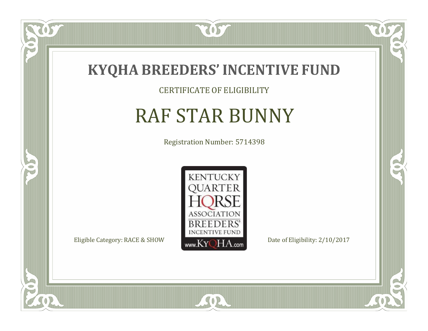

CERTIFICATE OF ELIGIBILITY

# RAF STAR BUNNY

Registration Number: 5714398



SOR

 $\mathbb{R}$ 

 $\rightarrow$ 

 $\overline{OS}$ 

 $\bullet$ NU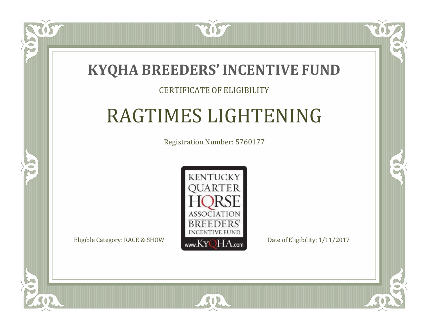### **KYQHA BREEDERS'INCENTIVE FUND**

2057

### CERTIFICATE OF ELIGIBILITY

# RAGTIMES LIGHTENING

Registration Number: 5760177



 $SO<sub>2</sub>$ 

CO.

 $\rightarrow$ 

 $\Box$ N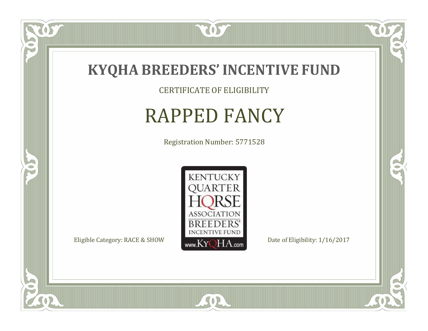

CERTIFICATE OF ELIGIBILITY

### RAPPED FANCY

Registration Number: 5771528



SOR

 $\mathbb{R}$ 

 $\rightarrow$ 

US

 $\bullet$ NU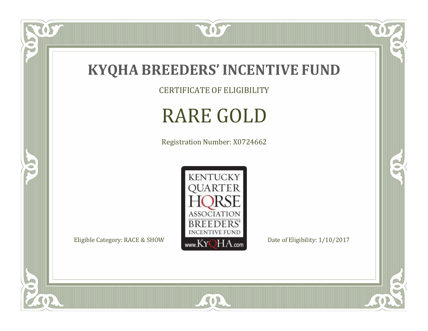

 $\overline{OS}$ 

 $\bullet$ N

5

CERTIFICATE OF ELIGIBILITY

# RARE GOLD

Registration Number: X0724662



SOR

 $\mathbb{R}$ 

 $\mathbb{R}^2$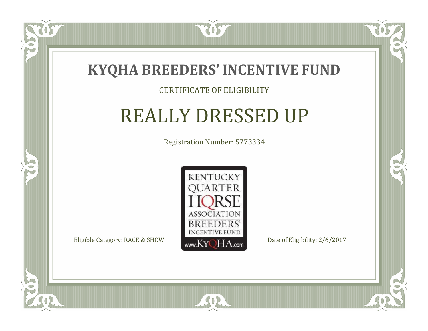

### CERTIFICATE OF ELIGIBILITY

### REALLY DRESSED UP

Registration Number: 5773334



 $\delta S$ 

 $\blacksquare$ N

5

CO.

 $\rightarrow$ 

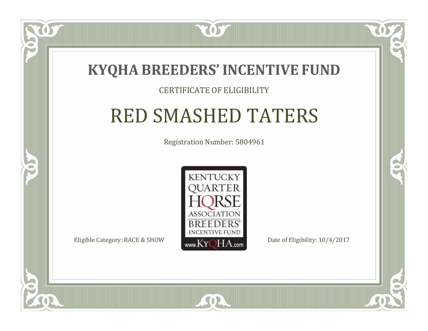

#### CERTIFICATE OF ELIGIBILITY

### RED SMASHED TATERS

Registration Number: 5804961



SOR

CO.

B

 $\Box$ N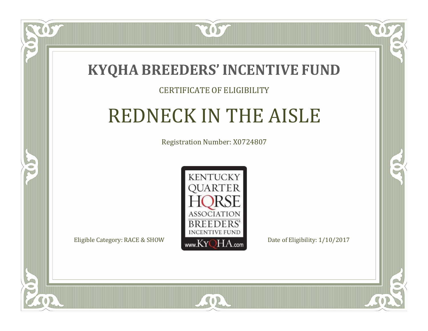

### CERTIFICATE OF ELIGIBILITY

# REDNECK IN THE AISLE

Registration Number: X0724807



 $SO2$ 

CO.

 $\rightarrow$ 

 $\blacksquare$ N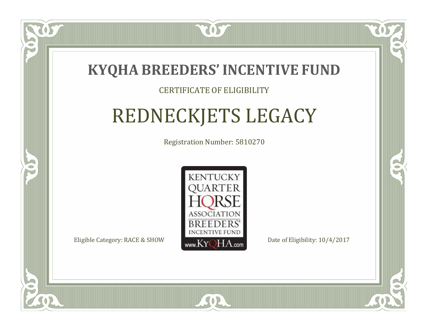

### CERTIFICATE OF ELIGIBILITY

# REDNECKJETS LEGACY

Registration Number: 5810270



RO

B.

 $\Box$ N

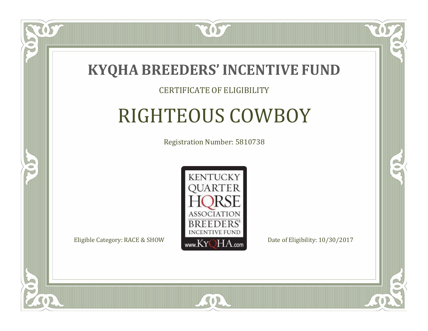

### CERTIFICATE OF ELIGIBILITY

# RIGHTEOUS COWBOY

Registration Number: 5810738



 $SO<sub>2</sub>$ 

RO

B

 $\Box$ N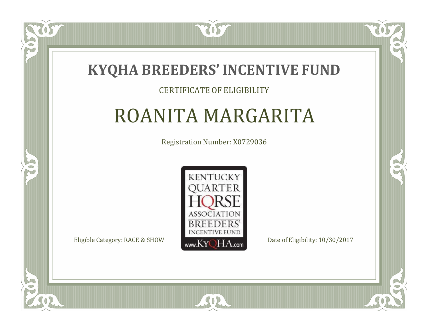

### CERTIFICATE OF ELIGIBILITY

### ROANITA MARGARITA

Registration Number: X0729036



SOR

CO.

 $\rightarrow$ 

 $\Box$ T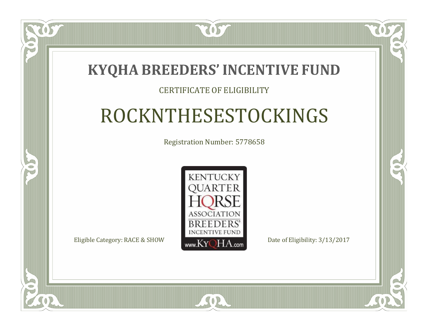### **KYQHA BREEDERS'INCENTIVE FUND**

2057

### CERTIFICATE OF ELIGIBILITY

# ROCKNTHESESTOCKINGS

Registration Number: 5778658



 $SO<sub>2</sub>$ 

RO

CO.

 $\Box$ T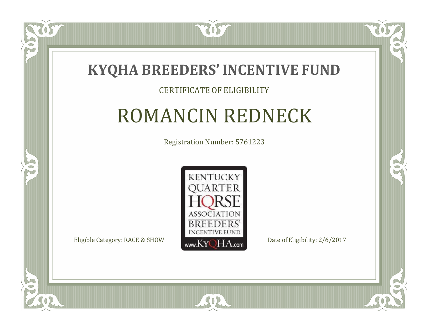

### CERTIFICATE OF ELIGIBILITY

## ROMANCIN REDNECK

Registration Number: 5761223



SOR

CO.

 $\rightarrow$ 

 $\blacksquare$ N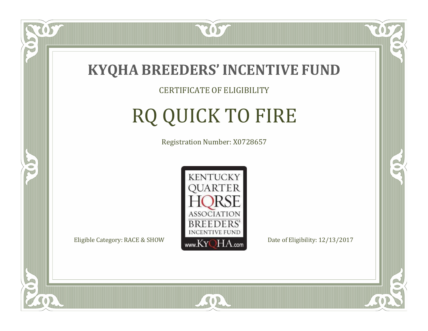

CERTIFICATE OF ELIGIBILITY

# RQ QUICK TO FIRE

Registration Number: X0728657



SOR

CO.

CO.

 $\delta S$ 

 $\Box$ NU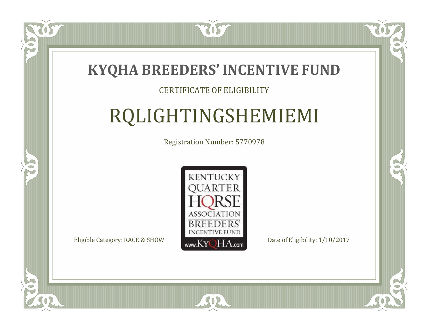

### CERTIFICATE OF ELIGIBILITY

# RQLIGHTINGSHEMIEMI

Registration Number: 5770978



SOR

CO.

 $\rightarrow$ 

 $\delta S$ 

 $\blacksquare$ N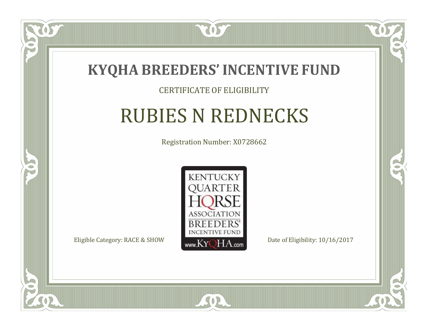

### CERTIFICATE OF ELIGIBILITY

## RUBIES N REDNECKS

Registration Number: X0728662



SOR

CO.

 $\rightarrow$ 

 $\blacksquare$ N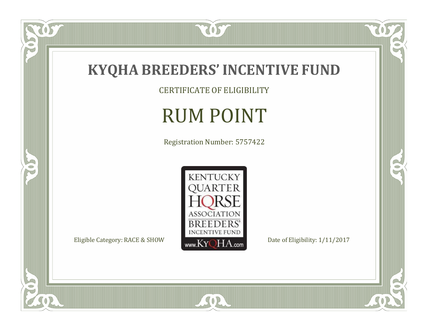

OS.

FO

5

CERTIFICATE OF ELIGIBILITY

# RUM POINT

Registration Number: 5757422



SOR

 $\mathbb{R}$ 

 $\mathbb{R}^2$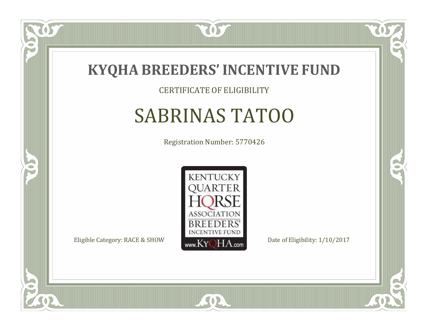

CERTIFICATE OF ELIGIBILITY

# SABRINAS TATOO

Registration Number: 5770426



SOR

CO.

 $\rightarrow$ 

 $\delta S$ 

 $\Box$ NU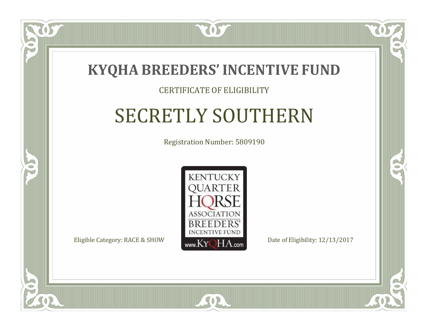

#### CERTIFICATE OF ELIGIBILITY

# SECRETLY SOUTHERN

Registration Number: 5809190



SOR

RO

 $\rightarrow$ 

 $\blacksquare$ N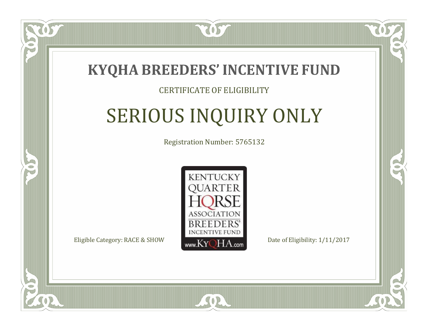

#### CERTIFICATE OF ELIGIBILITY

# SERIOUS INQUIRY ONLY

Registration Number: 5765132



SOR

RO

B.

 $\Box$ N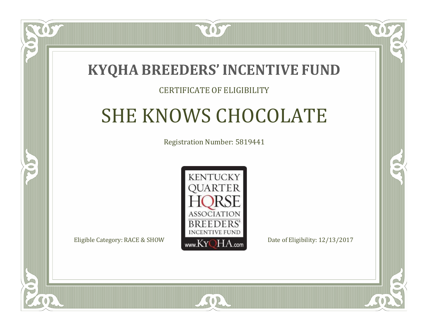### **KYQHA BREEDERS'INCENTIVE FUND**

7057

### CERTIFICATE OF ELIGIBILITY

# SHE KNOWS CHOCOLATE

Registration Number: 5819441



SOR

RO

P.

 $\Box$ N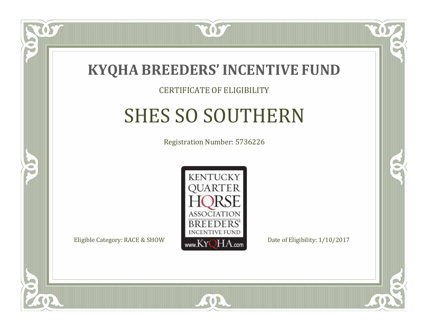

#### CERTIFICATE OF ELIGIBILITY

# SHES SO SOUTHERN

Registration Number: 5736226



SOR

RO

B

 $\Box$ N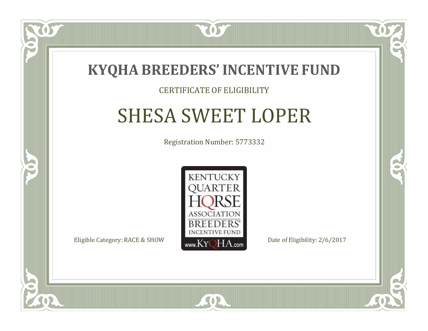

#### CERTIFICATE OF ELIGIBILITY

### SHESA SWEET LOPER

Registration Number: 5773332



SOR

RO

B

 $\Box$ N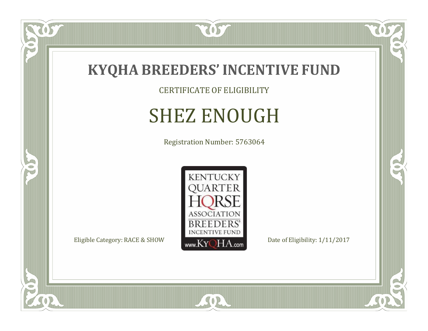

CERTIFICATE OF ELIGIBILITY

# SHEZ ENOUGH

Registration Number: 5763064



SOR

US

 $\bullet$ NU

5

CO.

 $\rightarrow$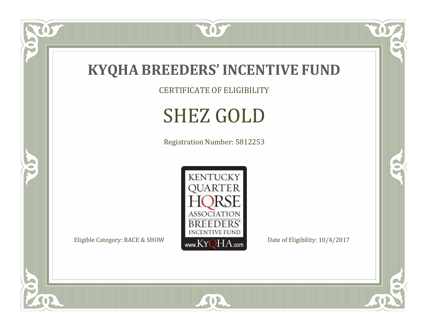

CERTIFICATE OF ELIGIBILITY

# SHEZ GOLD

Registration Number: 5812253



SOR

 $\mathbb{R}$ 

 $\mathbb{R}^2$ 

 $\overline{OS}$ 

 $\bullet$ N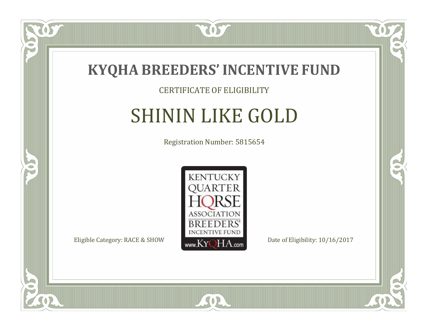

#### CERTIFICATE OF ELIGIBILITY

### SHININ LIKE GOLD

Registration Number: 5815654



CO.

B

057

 $\bullet$ NU

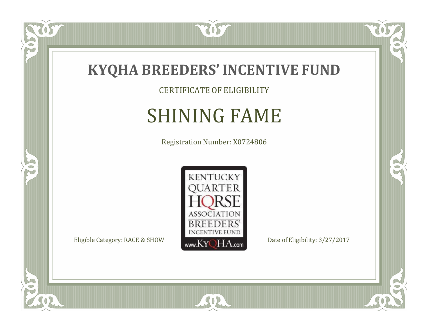

CERTIFICATE OF ELIGIBILITY

# SHINING FAME

Registration Number: X0724806



SOR

CO.

 $\rightarrow$ 

 $\delta S$ 

 $\bullet$ NU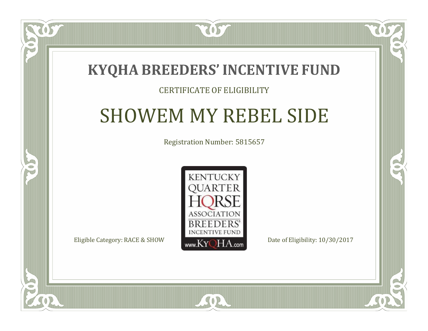

#### CERTIFICATE OF ELIGIBILITY

### SHOWEM MY REBEL SIDE

Registration Number: 5815657



SOR

RO

CO.

 $\Box$ T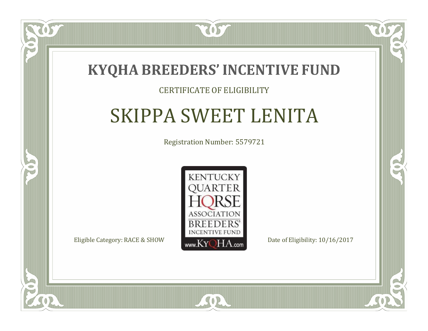

#### CERTIFICATE OF ELIGIBILITY

## SKIPPA SWEET LENITA

Registration Number: 5579721



SOR

CO.

 $\rightarrow$ 

 $\blacksquare$ N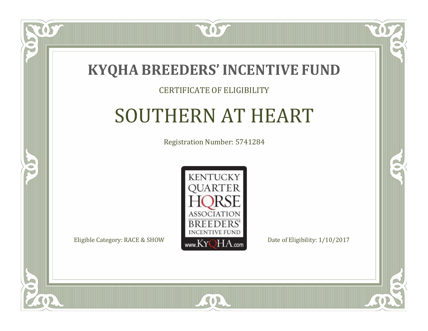

#### CERTIFICATE OF ELIGIBILITY

## SOUTHERN AT HEART

Registration Number: 5741284



 $SO2$ 

CO.

 $\rightarrow$ 

 $\Box$ N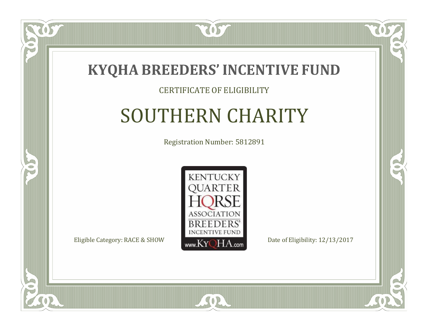

#### CERTIFICATE OF ELIGIBILITY

# SOUTHERN CHARITY

Registration Number: 5812891



SOR

CO.

 $\rightarrow$ 

 $\Box$ N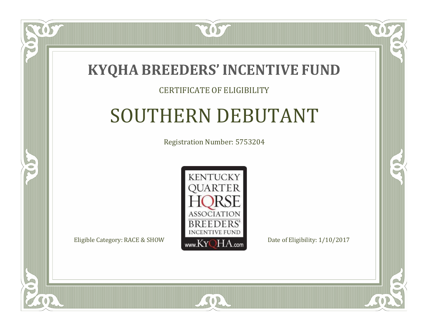

#### CERTIFICATE OF ELIGIBILITY

# SOUTHERN DEBUTANT

Registration Number: 5753204



SOR

CO.

 $\rightarrow$ 

 $\blacksquare$ N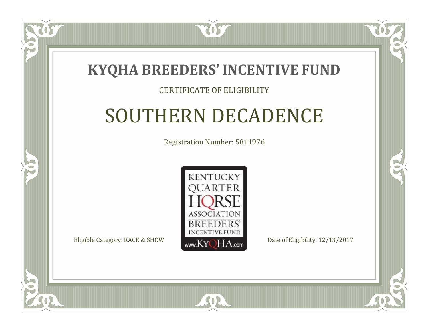

#### CERTIFICATE OF ELIGIBILITY

## SOUTHERN DECADENCE

Registration Number: 5811976



RO

CO.

 $\Box$ T

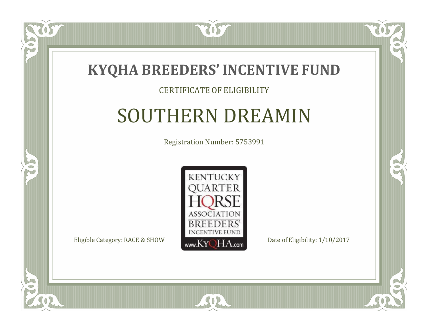

#### CERTIFICATE OF ELIGIBILITY

### SOUTHERN DREAMIN

Registration Number: 5753991



SOR

ÒS

 $\Box$ NU

5

CO.

 $\rightarrow$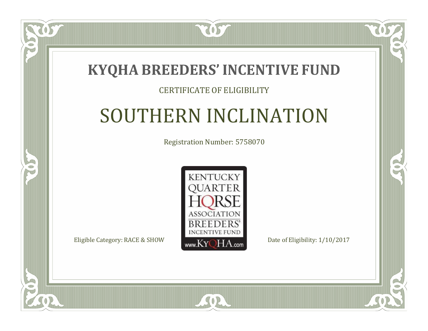### **KYQHA BREEDERS'INCENTIVE FUND**

2057

#### CERTIFICATE OF ELIGIBILITY

# SOUTHERN INCLINATION

Registration Number: 5758070



SOR

CO.

 $\rightarrow$ 

 $\blacksquare$ N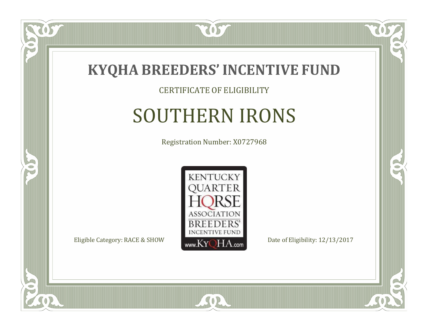

#### CERTIFICATE OF ELIGIBILITY

## SOUTHERN IRONS

Registration Number: X0727968



 $SO2$ 

CO.

 $\rightarrow$ 

US

 $\Box$ NU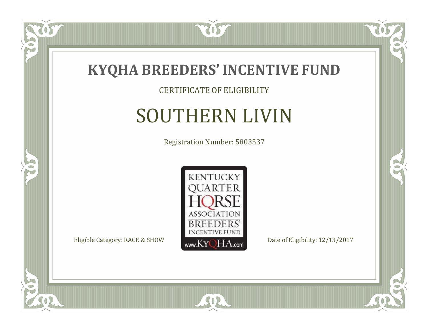

#### CERTIFICATE OF ELIGIBILITY

# SOUTHERN LIVIN

Registration Number: 5803537



 $\mathbb{R}$ 

 $\rightarrow$ 

 $\overline{OS}$ 

 $\bullet$ NU

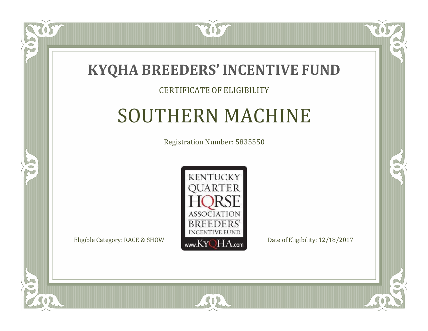

#### CERTIFICATE OF ELIGIBILITY

## SOUTHERN MACHINE

Registration Number: 5835550



SOR

CO.

 $\rightarrow$ 

 $\Box$ N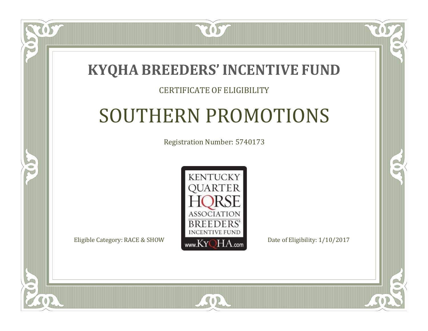### **KYQHA BREEDERS'INCENTIVE FUND**

2057

#### CERTIFICATE OF ELIGIBILITY

# SOUTHERN PROMOTIONS

Registration Number: 5740173



SOR

CO.

 $\rightarrow$ 

 $\Box$ N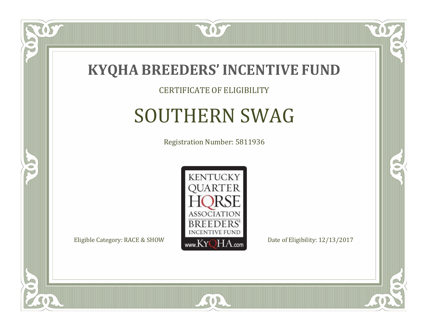

#### CERTIFICATE OF ELIGIBILITY

### SOUTHERN SWAG

Registration Number: 5811936



SOR

CO.

 $\rightarrow$ 

057

 $\Box$ NU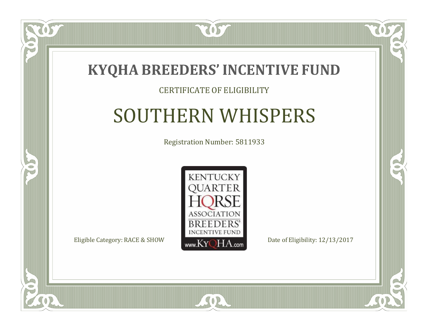

#### CERTIFICATE OF ELIGIBILITY

### SOUTHERN WHISPERS

Registration Number: 5811933



CO.

 $\rightarrow$ 

 $\blacksquare$ N

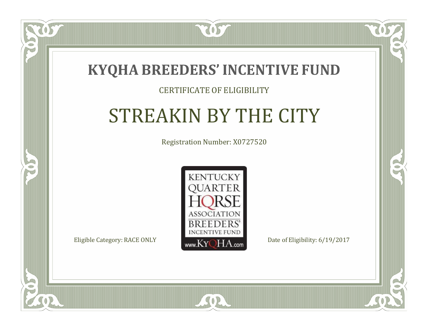

#### CERTIFICATE OF ELIGIBILITY

# STREAKIN BY THE CITY

Registration Number: X0727520



SOR

 $\mathbb{R}^2$ 

 $\rightarrow$ 

 $\blacksquare$ N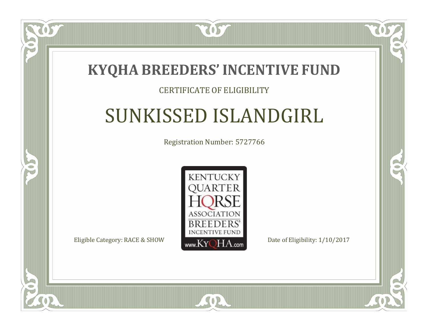

#### CERTIFICATE OF ELIGIBILITY

## SUNKISSED ISLANDGIRL

Registration Number: 5727766



SOR

RO

B

 $\Box$ N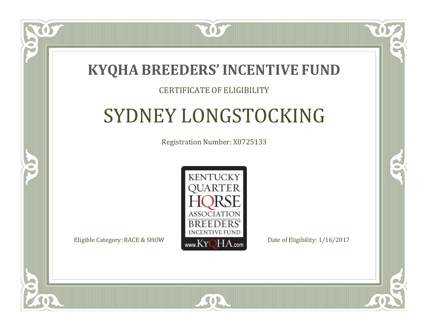

#### CERTIFICATE OF ELIGIBILITY

# SYDNEY LONGSTOCKING

Registration Number: X0725133



 $SO<sub>2</sub>$ 

RO

CO.

 $\Box$ T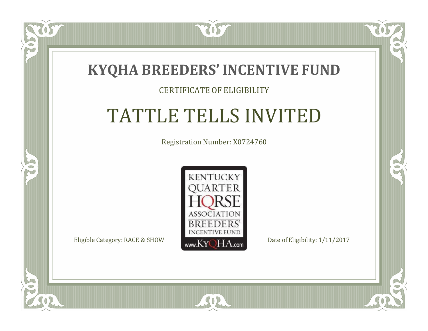

#### CERTIFICATE OF ELIGIBILITY

# TATTLE TELLS INVITED

Registration Number: X0724760



SOR

CO.

 $\rightarrow$ 

 $\blacksquare$ N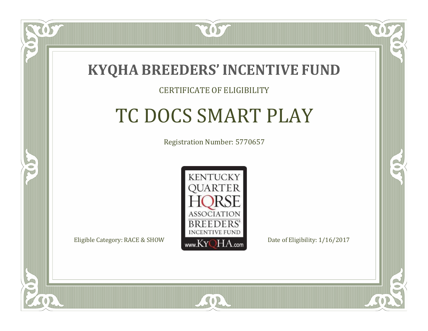

#### CERTIFICATE OF ELIGIBILITY

## TC DOCS SMART PLAY

Registration Number: 5770657



 $SO<sub>2</sub>$ 

CO.

B

 $\Box$ N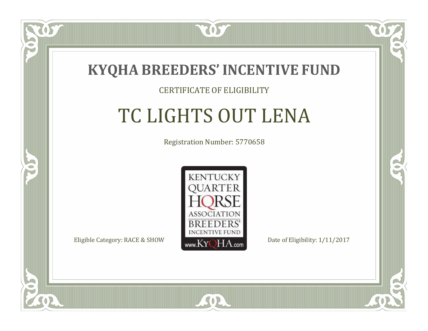

#### CERTIFICATE OF ELIGIBILITY

# TC LIGHTS OUT LENA

Registration Number: 5770658



 $SO<sub>2</sub>$ 

RO

CO.

 $\Box$ N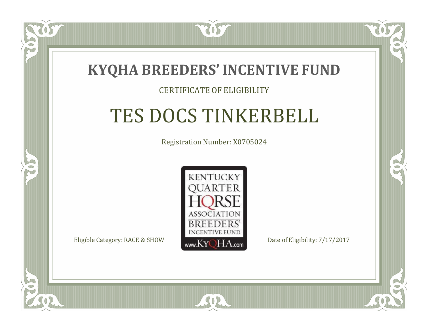

 $\Box$ N

5

#### CERTIFICATE OF ELIGIBILITY

## TES DOCS TINKERBELL

Registration Number: X0705024



SOR

CO.

CO.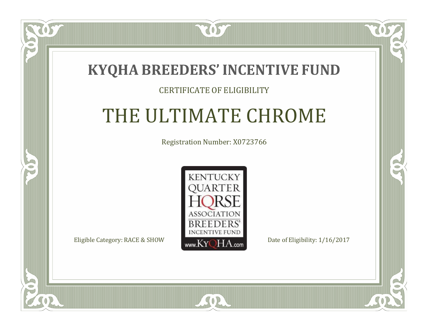### **KYQHA BREEDERS'INCENTIVE FUND**

7057

#### CERTIFICATE OF ELIGIBILITY

# THE ULTIMATE CHROME

Registration Number: X0723766



SOR

 $\mathbb{R}^2$ 

 $\rightarrow$ 

 $\blacksquare$ N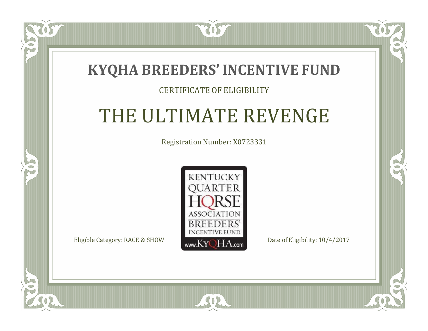### **KYQHA BREEDERS'INCENTIVE FUND**

2057

#### CERTIFICATE OF ELIGIBILITY

# THE ULTIMATE REVENGE

Registration Number: X0723331



SOR

 $\mathbb{R}^2$ 

 $\rightarrow$ 

 $\Box$ N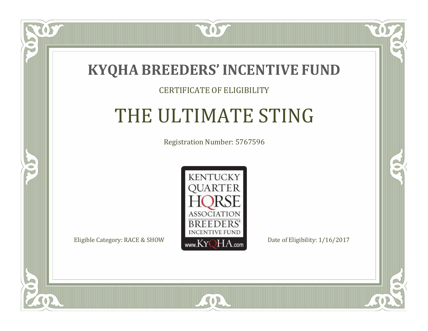

#### CERTIFICATE OF ELIGIBILITY

### THE ULTIMATE STING

Registration Number: 5767596



 $SO<sub>2</sub>$ 

 $\blacksquare$ N

5

CO.

 $\rightarrow$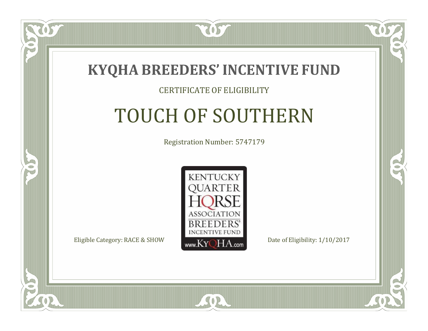

#### CERTIFICATE OF ELIGIBILITY

# TOUCH OF SOUTHERN

Registration Number: 5747179



 $SO2$ 

 $\Box$ N

5

CO.

 $\rightarrow$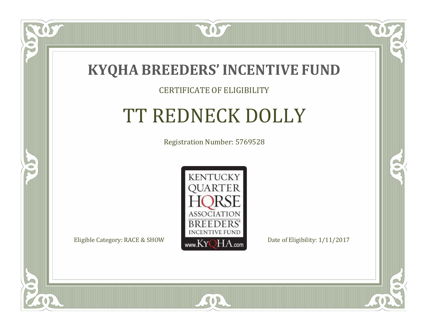

#### CERTIFICATE OF ELIGIBILITY

# TT REDNECK DOLLY

Registration Number: 5769528



SOR

CO.

 $\rightarrow$ 

OS

 $\Box$ NU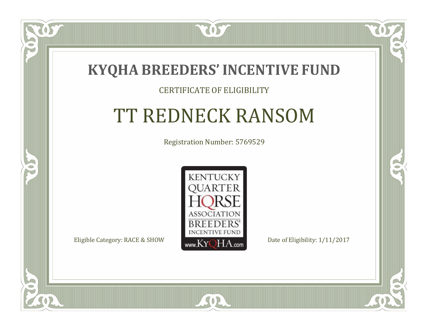

#### CERTIFICATE OF ELIGIBILITY

### TT REDNECK RANSOM

Registration Number: 5769529



SOR

CO.

 $\rightarrow$ 

 $\Box$ N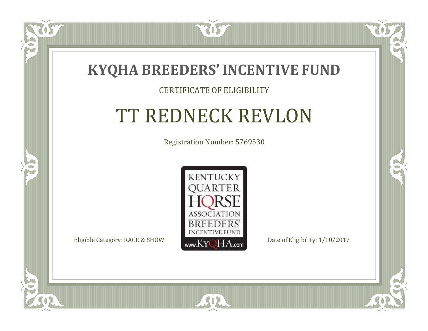

#### CERTIFICATE OF ELIGIBILITY

# TT REDNECK REVLON

Registration Number: 5769530



SOR

CO.

 $\rightarrow$ 

 $\blacksquare$ N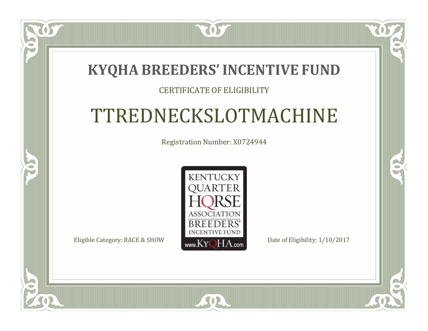### **KYQHA BREEDERS'INCENTIVE FUND**

2057

#### CERTIFICATE OF ELIGIBILITY

## TTREDNECKSLOTMACHINE

Registration Number: X0724944



 $SO2$ 

CO.

 $\rightarrow$ 

 $\blacksquare$ N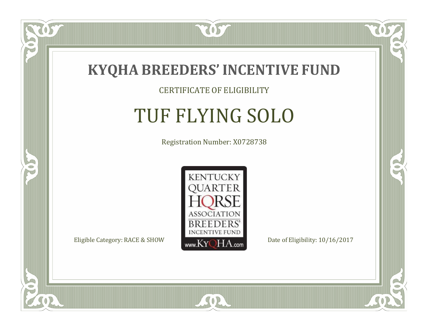

#### CERTIFICATE OF ELIGIBILITY

# TUF FLYING SOLO

Registration Number: X0728738



SOR

CO.

 $\rightarrow$ 

 $\widetilde{\text{OS}}$ 

 $\Box$ NU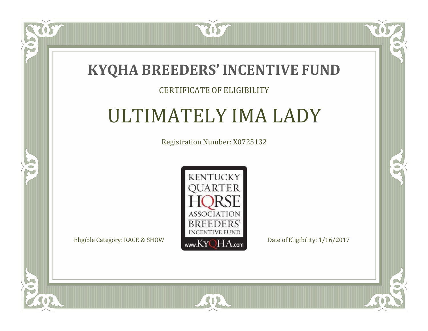

#### CERTIFICATE OF ELIGIBILITY

### ULTIMATELY IMA LADY

Registration Number: X0725132



SOR

CO.

 $\rightarrow$ 

OS

 $\Box$ N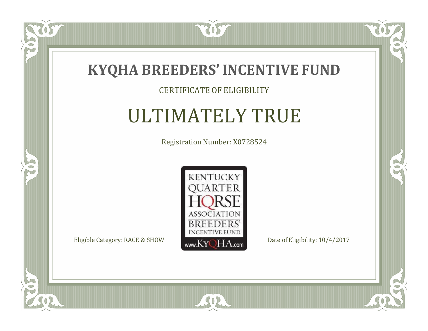

#### CERTIFICATE OF ELIGIBILITY

## ULTIMATELY TRUE

Registration Number: X0728524



SOR

 $\mathbb{R}$ 

 $\rightarrow$ 

 $\overline{OS}$ 

 $\bullet$ NU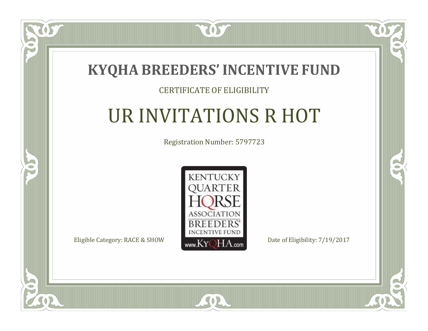

#### CERTIFICATE OF ELIGIBILITY

# UR INVITATIONS R HOT

Registration Number: 5797723



SOR

CO.

 $\rightarrow$ 

 $\blacksquare$ N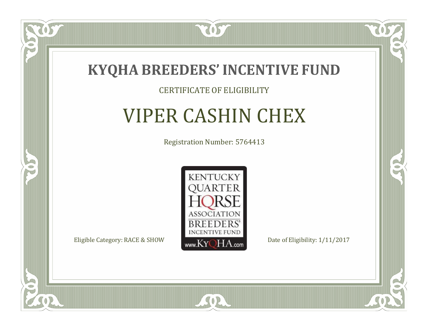

#### CERTIFICATE OF ELIGIBILITY

### VIPER CASHIN CHEX

Registration Number: 5764413



SOR

CO.

 $\rightarrow$ 

057

 $\Box$ NU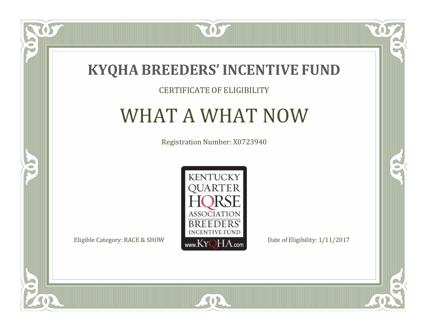

#### CERTIFICATE OF ELIGIBILITY

### WHAT A WHAT NOW

Registration Number: X0723940



SOR

 $\mathbb{R}$ 

 $\rightarrow$ 

US

 $\bullet$ NU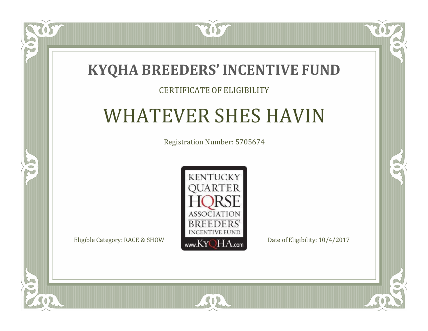

#### CERTIFICATE OF ELIGIBILITY

# WHATEVER SHES HAVIN

Registration Number: 5705674



SOR

CO.

 $\rightarrow$ 

 $\Box$ N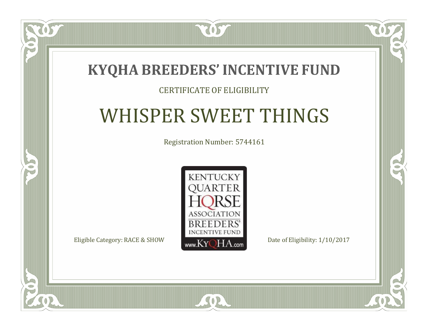### **KYQHA BREEDERS'INCENTIVE FUND**

7057

### CERTIFICATE OF ELIGIBILITY

# WHISPER SWEET THINGS

Registration Number: 5744161



SOR

CO.

 $\rightarrow$ 

 $\blacksquare$ N

S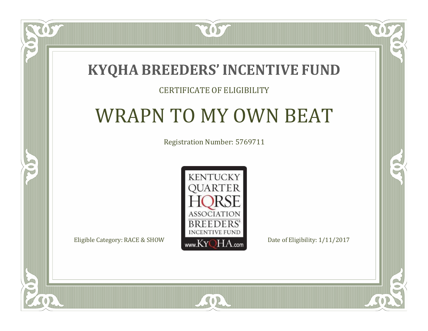### **KYQHA BREEDERS'INCENTIVE FUND**

7057

### CERTIFICATE OF ELIGIBILITY

## WRAPN TO MY OWN BEAT

Registration Number: 5769711



SOR

 $\mathbb{R}$ 

 $\rightarrow$ 

 $\blacksquare$ N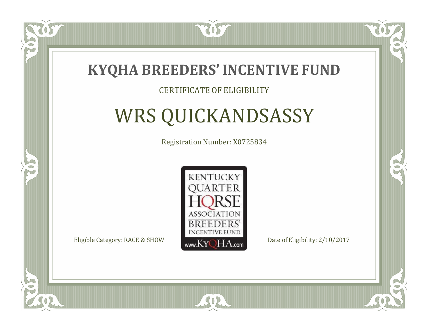

#### CERTIFICATE OF ELIGIBILITY

# WRS QUICKANDSASSY

Registration Number: X0725834



SOR

 $\mathbb{R}^2$ 

CO.

 $\Box$ N

S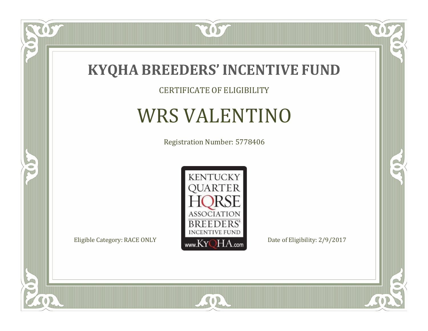

CERTIFICATE OF ELIGIBILITY

## WRS VALENTINO

Registration Number: 5778406



SOR

 $\mathbb{R}$ 

R

 $\overline{OS}$ 

 $\bullet$ N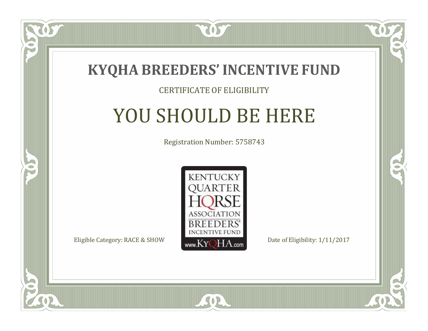

#### CERTIFICATE OF ELIGIBILITY

# YOU SHOULD BE HERE

Registration Number: 5758743



SOR

CO.

B

 $\Box$ N